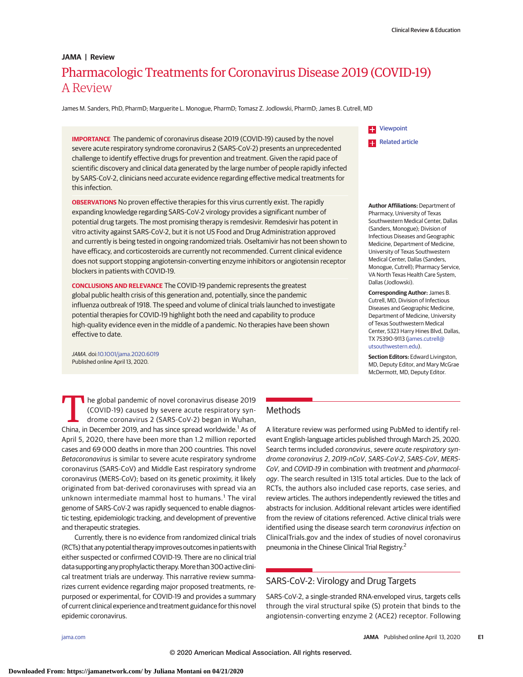# Pharmacologic Treatments for Coronavirus Disease 2019 (COVID-19) A Review **JAMA | Review**

James M. Sanders, PhD, PharmD; Marguerite L. Monogue, PharmD; Tomasz Z. Jodlowski, PharmD; James B. Cutrell, MD

**IMPORTANCE** The pandemic of coronavirus disease 2019 (COVID-19) caused by the novel severe acute respiratory syndrome coronavirus 2 (SARS-CoV-2) presents an unprecedented challenge to identify effective drugs for prevention and treatment. Given the rapid pace of scientific discovery and clinical data generated by the large number of people rapidly infected by SARS-CoV-2, clinicians need accurate evidence regarding effective medical treatments for this infection.

**OBSERVATIONS** No proven effective therapies for this virus currently exist. The rapidly expanding knowledge regarding SARS-CoV-2 virology provides a significant number of potential drug targets. The most promising therapy is remdesivir. Remdesivir has potent in vitro activity against SARS-CoV-2, but it is not US Food and Drug Administration approved and currently is being tested in ongoing randomized trials. Oseltamivir has not been shown to have efficacy, and corticosteroids are currently not recommended. Current clinical evidence does not support stopping angiotensin-converting enzyme inhibitors or angiotensin receptor blockers in patients with COVID-19.

**CONCLUSIONS AND RELEVANCE** The COVID-19 pandemic represents the greatest global public health crisis of this generation and, potentially, since the pandemic influenza outbreak of 1918. The speed and volume of clinical trials launched to investigate potential therapies for COVID-19 highlight both the need and capability to produce high-quality evidence even in the middle of a pandemic. No therapies have been shown effective to date.

JAMA. doi[:10.1001/jama.2020.6019](https://jamanetwork.com/journals/jama/fullarticle/10.1001/jama.2020.6019?utm_campaign=articlePDF%26utm_medium=articlePDFlink%26utm_source=articlePDF%26utm_content=jama.2020.6019) Published online April 13, 2020.

[Viewpoint](https://jamanetwork.com/journals/jama/fullarticle/10.1001/jama.2020.4812?utm_campaign=articlePDF%26utm_medium=articlePDFlink%26utm_source=articlePDF%26utm_content=jama.2020.6019) H. **[Related article](https://jamanetwork.com/journals/jama/fullarticle/10.1001/jama.2020.4914?utm_campaign=articlePDF%26utm_medium=articlePDFlink%26utm_source=articlePDF%26utm_content=jama.2020.6019)** 

**Author Affiliations:** Department of Pharmacy, University of Texas Southwestern Medical Center, Dallas (Sanders, Monogue); Division of Infectious Diseases and Geographic Medicine, Department of Medicine, University of Texas Southwestern Medical Center, Dallas (Sanders, Monogue, Cutrell); Pharmacy Service, VA North Texas Health Care System, Dallas (Jodlowski).

**Corresponding Author:** James B. Cutrell, MD, Division of Infectious Diseases and Geographic Medicine, Department of Medicine, University of Texas Southwestern Medical Center, 5323 Harry Hines Blvd, Dallas, TX 75390-9113 [\(james.cutrell@](mailto:james.cutrell@utsouthwestern.edu) [utsouthwestern.edu\)](mailto:james.cutrell@utsouthwestern.edu).

**Section Editors:** Edward Livingston, MD, Deputy Editor, and Mary McGrae McDermott, MD, Deputy Editor.

The global pandemic of novel coronavirus disease 2019 (COVID-19) caused by severe acute respiratory syndrome coronavirus 2 (SARS-CoV-2) began in Wuhan, China, in December 2019, and has since spread worldwide.<sup>1</sup> As of April 5, 2020, there have been more than 1.2 million reported cases and 69 000 deaths in more than 200 countries. This novel Betacoronavirus is similar to severe acute respiratory syndrome coronavirus (SARS-CoV) and Middle East respiratory syndrome coronavirus (MERS-CoV); based on its genetic proximity, it likely originated from bat-derived coronaviruses with spread via an unknown intermediate mammal host to humans.<sup>1</sup> The viral genome of SARS-CoV-2 was rapidly sequenced to enable diagnostic testing, epidemiologic tracking, and development of preventive and therapeutic strategies.

Currently, there is no evidence from randomized clinical trials (RCTs) thatany potential therapy improves outcomes in patientswith either suspected or confirmed COVID-19. There are no clinical trial data supporting any prophylactic therapy. More than 300 active clinical treatment trials are underway. This narrative review summarizes current evidence regarding major proposed treatments, repurposed or experimental, for COVID-19 and provides a summary of current clinical experience and treatment guidance for this novel epidemic coronavirus.

# **Methods**

A literature review was performed using PubMed to identify relevant English-language articles published through March 25, 2020. Search terms included coronavirus, severe acute respiratory syndrome coronavirus 2, 2019-nCoV, SARS-CoV-2, SARS-CoV, MERS-CoV, and COVID-19 in combination with treatment and pharmacology. The search resulted in 1315 total articles. Due to the lack of RCTs, the authors also included case reports, case series, and review articles. The authors independently reviewed the titles and abstracts for inclusion. Additional relevant articles were identified from the review of citations referenced. Active clinical trials were identified using the disease search term coronavirus infection on ClinicalTrials.gov and the index of studies of novel coronavirus pneumonia in the Chinese Clinical Trial Registry.2

# SARS-CoV-2: Virology and Drug Targets

SARS-CoV-2, a single-stranded RNA-enveloped virus, targets cells through the viral structural spike (S) protein that binds to the angiotensin-converting enzyme 2 (ACE2) receptor. Following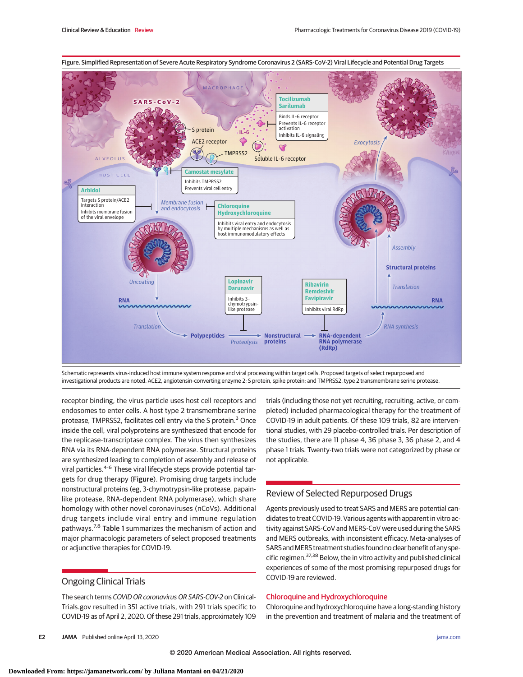

Schematic represents virus-induced host immune system response and viral processing within target cells. Proposed targets of select repurposed and investigational products are noted. ACE2, angiotensin-converting enzyme 2; S protein, spike protein; and TMPRSS2, type 2 transmembrane serine protease.

receptor binding, the virus particle uses host cell receptors and endosomes to enter cells. A host type 2 transmembrane serine protease, TMPRSS2, facilitates cell entry via the S protein.<sup>3</sup> Once inside the cell, viral polyproteins are synthesized that encode for the replicase-transcriptase complex. The virus then synthesizes RNA via its RNA-dependent RNA polymerase. Structural proteins are synthesized leading to completion of assembly and release of viral particles.<sup>4-6</sup> These viral lifecycle steps provide potential targets for drug therapy (Figure). Promising drug targets include nonstructural proteins (eg, 3-chymotrypsin-like protease, papainlike protease, RNA-dependent RNA polymerase), which share homology with other novel coronaviruses (nCoVs). Additional drug targets include viral entry and immune regulation pathways.<sup>7,8</sup> Table 1 summarizes the mechanism of action and major pharmacologic parameters of select proposed treatments or adjunctive therapies for COVID-19.

# Ongoing Clinical Trials

The search terms COVID OR coronavirus OR SARS-COV-2 on Clinical-Trials.gov resulted in 351 active trials, with 291 trials specific to COVID-19 as of April 2, 2020. Of these 291 trials, approximately 109

trials (including those not yet recruiting, recruiting, active, or completed) included pharmacological therapy for the treatment of COVID-19 in adult patients. Of these 109 trials, 82 are interventional studies, with 29 placebo-controlled trials. Per description of the studies, there are 11 phase 4, 36 phase 3, 36 phase 2, and 4 phase 1 trials. Twenty-two trials were not categorized by phase or not applicable.

# Review of Selected Repurposed Drugs

Agents previously used to treat SARS and MERS are potential candidates to treat COVID-19. Various agents with apparent in vitro activity against SARS-CoV and MERS-CoV were used during the SARS and MERS outbreaks, with inconsistent efficacy. Meta-analyses of SARS and MERS treatment studies found no clear benefit of any specific regimen.<sup>37,38</sup> Below, the in vitro activity and published clinical experiences of some of the most promising repurposed drugs for COVID-19 are reviewed.

### Chloroquine and Hydroxychloroquine

Chloroquine and hydroxychloroquine have a long-standing history in the prevention and treatment of malaria and the treatment of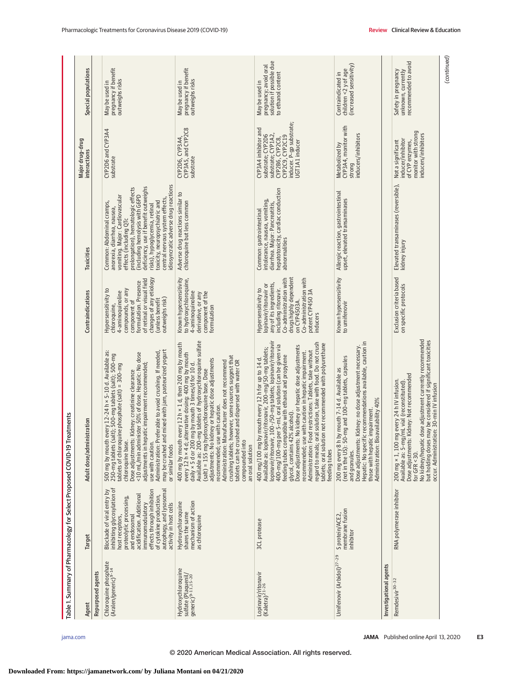|                                                                             |                                                                                                                                                                                                                                                                                          | Table 1. Summary of Pharmacology for Select Proposed COVID-19 Treatments                                                                                                                                                                                                                                                                                                                                                                                                                                                                                                                                                                                           |                                                                                                                                                                                                                               |                                                                                                                                                                                                                                                                                                                                                                                     | Major drug-drug                                                                                                                                     |                                                                                           |
|-----------------------------------------------------------------------------|------------------------------------------------------------------------------------------------------------------------------------------------------------------------------------------------------------------------------------------------------------------------------------------|--------------------------------------------------------------------------------------------------------------------------------------------------------------------------------------------------------------------------------------------------------------------------------------------------------------------------------------------------------------------------------------------------------------------------------------------------------------------------------------------------------------------------------------------------------------------------------------------------------------------------------------------------------------------|-------------------------------------------------------------------------------------------------------------------------------------------------------------------------------------------------------------------------------|-------------------------------------------------------------------------------------------------------------------------------------------------------------------------------------------------------------------------------------------------------------------------------------------------------------------------------------------------------------------------------------|-----------------------------------------------------------------------------------------------------------------------------------------------------|-------------------------------------------------------------------------------------------|
| Agent                                                                       | Target                                                                                                                                                                                                                                                                                   | Adult dose/administration                                                                                                                                                                                                                                                                                                                                                                                                                                                                                                                                                                                                                                          | Contraindications                                                                                                                                                                                                             | Toxicities                                                                                                                                                                                                                                                                                                                                                                          | interactions                                                                                                                                        | Special populations                                                                       |
| Repurposed agents                                                           |                                                                                                                                                                                                                                                                                          |                                                                                                                                                                                                                                                                                                                                                                                                                                                                                                                                                                                                                                                                    |                                                                                                                                                                                                                               |                                                                                                                                                                                                                                                                                                                                                                                     |                                                                                                                                                     |                                                                                           |
| Chloroquine phosphate<br>(Aralen/generic) <sup>9-14</sup>                   | inhibiting glycosylation of<br>effects through inhibition<br>autophagy, and lysosomal<br>Blockade of viral entry by<br>acidification. Additional<br>of cytokine production,<br>proteolytic processing,<br>activity in host cells<br>immunomodulatory<br>host receptors,<br>and endosomal | mixed with jam, pasteurized yogurt<br>500 mg by mouth every 12-24 h × 5-10 d. Available as:<br>Administration: Preferable to avoid crushing. If needed,<br><10 mL/min administer 50% of dose. Hepatic: No dose<br>t); 500-mg tablets (salt); 500-mg<br>adjustments in hepatic impairment recommended;<br>tablets of chloroquine phosphate (salt) = 300-mg<br>Dose adjustments: Kidney: creatinine clearance<br>may be crushed and<br>250-mg tablets (sal<br>chloroquine base.<br>use with caution.<br>or similar foods                                                                                                                                             | changes of any etiology<br>of retinal or visual field<br>formulation. Presence<br>Hypersensitivity to<br>compounds, or any<br>4-aminoquinoline<br>outweighs risk)<br>(unless benefit<br>component of<br>chloroquine,          | idiosyncratic adverse drug reactions<br>deficiency, use if benefit outweighs<br>prolongation), hematologic effects<br>vomiting. Major: Cardiovascular<br>(including hemolysis with G6PD<br>central nervous system effects,<br>toxicity, neuropsychiatric and<br>Common: Abdominal cramps,<br>risks), hypoglycemia, retinal<br>anorexia, diarrhea, nausea,<br>effects (including QTc | CYP2D6 and CYP3A4<br>substrate                                                                                                                      | pregnancy if benefit<br>outweighs risks<br>May be used in                                 |
| Hydroxychloroquine<br>sulfate (Plaquenil/<br>generic) <sup>9-11,15-20</sup> | mechanism of action<br>Hydroxychloroquine<br>shares the same<br>as chloroquine                                                                                                                                                                                                           | Available as: 200-mg tablets of hydroxychloroquine sulfate<br>400 mg by mouth every 12 h × 1 d, then 200 mg by mouth<br>every 12 h × 4 d; alternative dosing: 400 mg by mouth<br>crushing tablets; however, some sources suggest that<br>adjustments: No kidney or hepatic dose adjustments<br>tablets can be crushed and dispersed with water OR<br>Administration: Manufacturer does not recommend<br>daily × 5 d or 200 mg by mouth 3 times/d for 10 d.<br>(salt) = 155 mg hydroxychloroquine base. Dose<br>recommended; use with caution.<br>compounded into<br>an oral solution                                                                               | Known hypersensitivity<br>to hydroxychloroquine,<br>4-aminoquinoline<br>component of the<br>derivative, or any<br>formulation                                                                                                 | Adverse drug reactions similar to<br>chloroquine but less common                                                                                                                                                                                                                                                                                                                    | CYP3A5, and CYP2C8<br>CYP2D6, CYP3A4,<br>substrate                                                                                                  | pregnancy if benefit<br>outweighs risks<br>May be used in                                 |
| Lopinavir/ritonavir<br>(Kaletra) <sup>21-26</sup>                           | 3CL protease                                                                                                                                                                                                                                                                             | 100-/50-mg tablets; lopinavir/ritonavir<br>regard to meals; oral solution, take with food. Do not crush<br>tablets; oral solution not recommended with polyurethane<br>400-mg/100-mg per 5-mL oral solution (can be given via<br>Dose adjustments: No kidney or hepatic dose adjustments<br>Available as: lopinavir/ritonavir, 200-mg/50-mg tablets;<br>Administration: Food restrictions: Tablets, take without<br>recommended; use with caution in hepatic impairment.<br>feeding tubes compatible with ethanol and propylene<br>mouth every 12 h for up to 14 d.<br>glycol, contains 42% alcohol).<br>400 mg/100 mg by<br>lopinavir/ritonavir,<br>feeding tubes | drugs highly dependent<br>Co-administration with<br>Co-administration with<br>any of its ingredients,<br>lopinavir/ritonavir or<br>including ritonavir.<br>Hypersensitivity to<br>potent CYP4503A<br>on CYP4503A.<br>inducers | hepatotoxicity, cardiac conduction<br>intolerance, nausea, vomiting,<br>diarrhea. Major: Pancreatitis,<br>Common: gastrointestinal<br>abnormalities                                                                                                                                                                                                                                 | inducer. P-gp substrate;<br>CYP3A4 inhibitor and<br>substrate; CYP1A2,<br>substrate; CYP2D6<br>CYP2C9, CYP2C19<br>CYP2B6, CYP2C8,<br>UGT1A1 inducer | solution if possible due<br>pregnancy; avoid oral<br>to ethanol content<br>May be used in |
| Umifenovir (Arbidol) <sup>27-29</sup>                                       | membrane fusion<br>S protein/ACE2<br>inhibitor                                                                                                                                                                                                                                           | Hepatic: No specific recommendations available, caution in<br>Dose adjustments: Kidney: no dose adjustment necessary.<br>(not in the US): 50-mg and 100-mg tablets, capsules<br>200 mg every 8 h by mouth 7-14 d. Available as<br>those with hepatic impairment.<br>Administration: Bioavailability 40%<br>and granules.                                                                                                                                                                                                                                                                                                                                           | Known hypersensitivity<br>to umifenovir                                                                                                                                                                                       | Allergic reaction, gastrointestinal<br>upset, elevated transaminases                                                                                                                                                                                                                                                                                                                | CYP3A4, monitor with<br>inducers/inhibitors<br>Metabolized by<br>strong                                                                             | (increased sensitivity)<br>children <2 y of age<br>Contraindicated in                     |
| Investigational agents                                                      |                                                                                                                                                                                                                                                                                          |                                                                                                                                                                                                                                                                                                                                                                                                                                                                                                                                                                                                                                                                    |                                                                                                                                                                                                                               |                                                                                                                                                                                                                                                                                                                                                                                     |                                                                                                                                                     |                                                                                           |
| Remdesivir <sup>30-32</sup>                                                 | RNA polymerase inhibitor                                                                                                                                                                                                                                                                 | No kidney/hepatic dose adjustment currently recommended<br>but holding doses may be considered if significant toxicities<br>Dose adjustments: Kidney: Not recommended<br>200 mg × 1, 100 mg every 24 h IV infusion.<br>Available as: 5-mg/mL vial (reconstituted).<br>occur. Administration: 30-min IV infusion<br>for GFR <30.                                                                                                                                                                                                                                                                                                                                    | Exclusion criteria based<br>on specific protocols                                                                                                                                                                             | Elevated transaminases (reversible),<br>kidney injury                                                                                                                                                                                                                                                                                                                               | monitor with strong<br>inducers/inhibitors<br>inducer/inhibitor<br>Not a significant<br>of CYP enzymes,                                             | recommended to avoid<br>Safety in pregnancy<br>unknown, currently                         |
|                                                                             |                                                                                                                                                                                                                                                                                          |                                                                                                                                                                                                                                                                                                                                                                                                                                                                                                                                                                                                                                                                    |                                                                                                                                                                                                                               |                                                                                                                                                                                                                                                                                                                                                                                     |                                                                                                                                                     | (continued)                                                                               |

© 2020 American Medical Association. All rights reserved.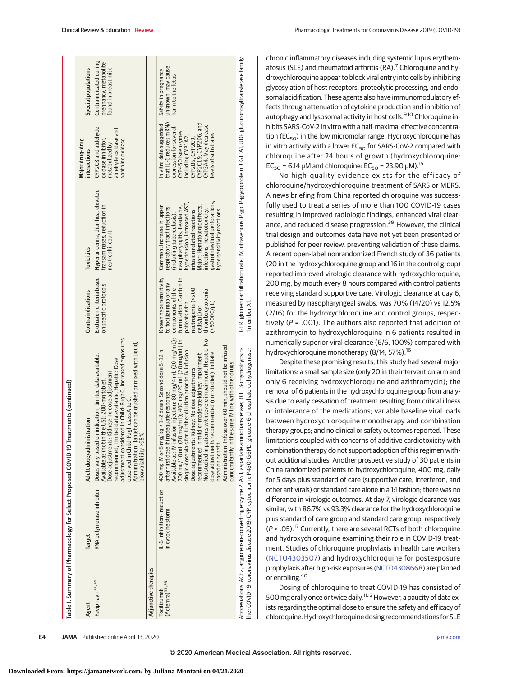|                                    |                                                | Table 1. Summary of Pharmacology for Select Proposed COVID-19 Treatments (continued)                                                                                                                                                                                                                                                                                                                                                                                                                                                                                                                                                                             |                                                                                                                                                                                           |                                                                                                                                                                                                                                                                                                                 |                                                                                                                                                                                                                |                                                                         |
|------------------------------------|------------------------------------------------|------------------------------------------------------------------------------------------------------------------------------------------------------------------------------------------------------------------------------------------------------------------------------------------------------------------------------------------------------------------------------------------------------------------------------------------------------------------------------------------------------------------------------------------------------------------------------------------------------------------------------------------------------------------|-------------------------------------------------------------------------------------------------------------------------------------------------------------------------------------------|-----------------------------------------------------------------------------------------------------------------------------------------------------------------------------------------------------------------------------------------------------------------------------------------------------------------|----------------------------------------------------------------------------------------------------------------------------------------------------------------------------------------------------------------|-------------------------------------------------------------------------|
| Agent                              | Target                                         | Adult dose/administration                                                                                                                                                                                                                                                                                                                                                                                                                                                                                                                                                                                                                                        | Contraindications                                                                                                                                                                         | Toxicities                                                                                                                                                                                                                                                                                                      | Major drug-drug<br>interactions                                                                                                                                                                                | Special populations                                                     |
| Favipiravir <sup>33,34</sup>       | RNA polymerase inhibitor                       | adjustment considered in Child-Pugh C, increased exposures<br>Administration: Tablet can be crushed or mixed with liquid<br>Doses vary based on indication, limited data available.<br>recommended, limited data available, Hepatic: Dose<br>Dose adjustments: Kidney: no dose adjustment<br>Available as (not in the US): 200-mg tablet<br>observed in Child-Pugh class A to 0<br>bioavailability >95%                                                                                                                                                                                                                                                          | Exclusion criteria based<br>on specific protocols                                                                                                                                         | Hyperuricemia, diarrhea, elevated<br>transaminases, reduction in<br>neutrophil count                                                                                                                                                                                                                            | CYP2C8 and aldehyde<br>aldehyde oxidase and<br>oxidase inhibitor,<br>xanthine oxidase<br>metabolized by                                                                                                        | Contraindicated during<br>pregnancy, metabolite<br>found in breast milk |
| Adjunctive therapies               |                                                |                                                                                                                                                                                                                                                                                                                                                                                                                                                                                                                                                                                                                                                                  |                                                                                                                                                                                           |                                                                                                                                                                                                                                                                                                                 |                                                                                                                                                                                                                |                                                                         |
| $(Actenra)^{35,36}$<br>Tocilizumab | IL-6 inhibition-reduction<br>in cytokine storm | fusion injection: 80 mg/4 mL (20 mg/mL);<br>Not studied in patients with severe impairment. Hepatic: No<br>200 mg/10 mL (20 mg/mL); 400 mg/20 mL (20 mg/mL) in<br>Administration: Infuse over 60 min, should not be infused<br>single-dose vials for further dilution prior to IV infusion.<br>400 mg IV or 8 mg/kg × 1-2 doses. Second dose 8-12 h<br>recommended in mild or moderate kidney impairment.<br>dose adjustments recommended (not studied); initiate<br>concomitantly in the same IV line with other drugs<br>Dose adjustments: Kidney: No dose adjustments<br>after first dose if inadequate response<br>Available as: IV inf<br>based on benefit. | Known hypersensitivity<br>formulation. Caution in<br>to tocilizumab or any<br>components of the<br>neutropenia (<500<br>thrombocytopenia<br>(<50 000/µL)<br>patients with<br>cells/uL) or | qastrointestinal perforations,<br>hypertension, increased AST,<br>Major: Hematologic effects.<br>Common: Increase in upper<br>nasopharyngitis, headache,<br>espiratory tract infections<br>infusion related reactions.<br>infections, hepatotoxicity,<br>hypersensitivity reactions<br>including tuberculosis), | that IL-6 reduces mRNA<br>CYP2C19.CYP2D6.and<br>In vitro data suggested<br>CYP3A4. May decrease<br>expression for several<br>CYP450 isoenzymes,<br>levels of substrates<br>including CYP1A2,<br>CYP2B6, CYP2C9 | unknown; may cause<br>Safety in pregnancy<br>harm to the fetus          |
|                                    |                                                | Abbreviations: ACE2, angiotensin-converting enzyme 2; AST, aspartate aminotransferase: 3CL, 3-chymotrypsin-<br>ike; COVID-19, coronavirus disease 2019; CYP, cytochrome P450; G6PD, glucose-6-phosphate-dehydrogenase                                                                                                                                                                                                                                                                                                                                                                                                                                            | 1 member A                                                                                                                                                                                | GFR, glomerular filtration rate: IV, intravenous; P-gp, P-glycoprotein; UGTIA1, UDP glucuronosyltransferase family                                                                                                                                                                                              |                                                                                                                                                                                                                |                                                                         |

chronic inflammatory diseases including systemic lupus erythematosus (SLE) and rheumatoid arthritis (RA).<sup>7</sup> Chloroquine and hydroxychloroquine appear to block viral entry into cells by inhibiting glycosylation of host receptors, proteolytic processing, and endosomal acidification. These agents also have immunomodulatory effects through attenuation of cytokine production and inhibition of autophagy and lysosomal activity in host cells.<sup>9,10</sup> Chloroquine inhibits SARS-CoV-2 in vitro with a half-maximal effective concentration ( $EC_{50}$ ) in the low micromolar range. Hydroxychloroquine has in vitro activity with a lower  $EC_{50}$  for SARS-CoV-2 compared with chloroquine after 24 hours of growth (hydroxychloroquine:  $EC_{50}$  = 6.14 μM and chloroquine:  $EC_{50}$  = 23.90 μM).<sup>15</sup>

No high-quality evidence exists for the efficacy of chloroquine/hydroxychloroquine treatment of SARS or MERS. A news briefing from China reported chloroquine was successfully used to treat a series of more than 100 COVID-19 cases resulting in improved radiologic findings, enhanced viral clearance, and reduced disease progression.<sup>39</sup> However, the clinical trial design and outcomes data have not yet been presented or published for peer review, preventing validation of these claims. A recent open-label nonrandomized French study of 36 patients (20 in the hydroxychloroquine group and 16 in the control group) reported improved virologic clearance with hydroxychloroquine, 200 mg, by mouth every 8 hours compared with control patients receiving standard supportive care. Virologic clearance at day 6, measured by nasopharyngeal swabs, was 70% (14/20) vs 12.5% (2/16) for the hydroxychloroquine and control groups, respectively ( $P = .001$ ). The authors also reported that addition of azithromycin to hydroxychloroquine in 6 patients resulted in numerically superior viral clearance (6/6, 100%) compared with hydroxychloroquine monotherapy (8/14, 57%).<sup>16</sup>

Despite these promising results, this study had several major limitations: a small sample size (only 20 in the intervention arm and only 6 receiving hydroxychloroquine and azithromycin); the removal of 6 patients in the hydroxychloroquine group from analysis due to early cessation of treatment resulting from critical illness or intolerance of the medications; variable baseline viral loads between hydroxychloroquine monotherapy and combination therapy groups; and no clinical or safety outcomes reported. These limitations coupled with concerns of additive cardiotoxicity with combination therapy do not support adoption of this regimen without additional studies. Another prospective study of 30 patients in China randomized patients to hydroxychloroquine, 400 mg, daily for 5 days plus standard of care (supportive care, interferon, and other antivirals) or standard care alone in a 1:1 fashion; there was no difference in virologic outcomes. At day 7, virologic clearance was similar, with 86.7% vs 93.3% clearance for the hydroxychloroquine plus standard of care group and standard care group, respectively  $(P > .05).$ <sup>17</sup> Currently, there are several RCTs of both chloroquine and hydroxychloroquine examining their role in COVID-19 treatment. Studies of chloroquine prophylaxis in health care workers [\(NCT04303507\)](https://clinicaltrials.gov/ct2/show/NCT04303507) and hydroxychloroquine for postexposure prophylaxis after high-risk exposures [\(NCT04308668\)](https://clinicaltrials.gov/ct2/show/NCT04308668) are planned or enrolling.<sup>40</sup>

Dosing of chloroquine to treat COVID-19 has consisted of 500 mg orally once or twice daily.<sup>11,12</sup> However, a paucity of data exists regarding the optimal dose to ensure the safety and efficacy of chloroquine.Hydroxychloroquine dosing recommendations for SLE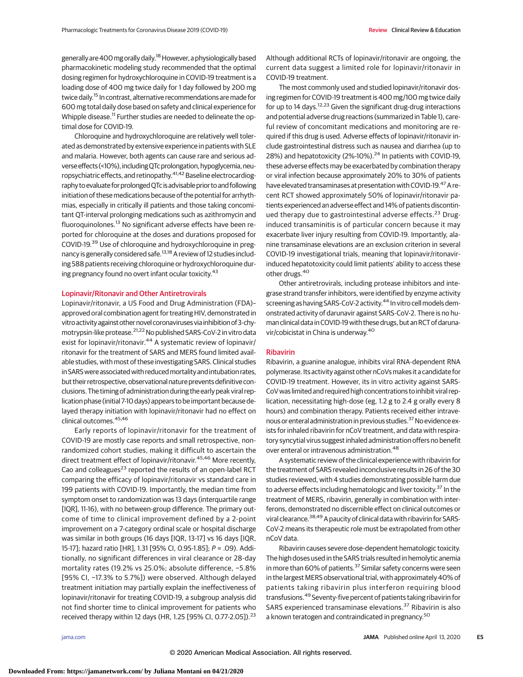generally are 400 mg orally daily.<sup>18</sup> However, a physiologically based pharmacokinetic modeling study recommended that the optimal dosing regimen for hydroxychloroquine in COVID-19 treatment is a loading dose of 400 mg twice daily for 1 day followed by 200 mg twice daily.<sup>15</sup> In contrast, alternative recommendations are made for 600 mg total daily dose based on safety and clinical experience for Whipple disease.<sup>11</sup> Further studies are needed to delineate the optimal dose for COVID-19.

Chloroquine and hydroxychloroquine are relatively well tolerated as demonstrated by extensive experience in patients with SLE and malaria. However, both agents can cause rare and serious adverse effects (<10%), including QTc prolongation, hypoglycemia, neuropsychiatric effects, and retinopathy.<sup>41,42</sup> Baseline electrocardiography to evaluate for prolonged QTc is advisable prior to and following initiation of these medications because of the potential for arrhythmias, especially in critically ill patients and those taking concomitant QT-interval prolonging medications such as azithromycin and fluoroquinolones.<sup>13</sup> No significant adverse effects have been reported for chloroquine at the doses and durations proposed for COVID-19.<sup>39</sup> Use of chloroquine and hydroxychloroquine in pregnancy is generally considered safe.<sup>13,18</sup> A review of 12 studies including 588 patients receiving chloroquine or hydroxychloroquine during pregnancy found no overt infant ocular toxicity.<sup>43</sup>

### Lopinavir/Ritonavir and Other Antiretrovirals

Lopinavir/ritonavir, a US Food and Drug Administration (FDA)– approved oral combination agent for treating HIV, demonstrated in vitro activity against other novel coronaviruses via inhibition of 3-chymotrypsin-like protease.<sup>21,22</sup> No published SARS-CoV-2 in vitro data exist for lopinavir/ritonavir.<sup>44</sup> A systematic review of lopinavir/ ritonavir for the treatment of SARS and MERS found limited available studies, with most of these investigating SARS. Clinical studies in SARS were associated with reduced mortality and intubation rates, but their retrospective, observational nature prevents definitive conclusions. The timing of administration during the early peak viral replication phase (initial 7-10 days) appears to be important because delayed therapy initiation with lopinavir/ritonavir had no effect on clinical outcomes. 45,46

Early reports of lopinavir/ritonavir for the treatment of COVID-19 are mostly case reports and small retrospective, nonrandomized cohort studies, making it difficult to ascertain the direct treatment effect of lopinavir/ritonavir.<sup>45,46</sup> More recently, Cao and colleagues $^{23}$  reported the results of an open-label RCT comparing the efficacy of lopinavir/ritonavir vs standard care in 199 patients with COVID-19. Importantly, the median time from symptom onset to randomization was 13 days (interquartile range [IQR], 11-16), with no between-group difference. The primary outcome of time to clinical improvement defined by a 2-point improvement on a 7-category ordinal scale or hospital discharge was similar in both groups (16 days [IQR, 13-17] vs 16 days [IQR, 15-17]; hazard ratio [HR], 1.31 [95% CI, 0.95-1.85]; P = .09). Additionally, no significant differences in viral clearance or 28-day mortality rates (19.2% vs 25.0%; absolute difference, −5.8% [95% CI, −17.3% to 5.7%]) were observed. Although delayed treatment initiation may partially explain the ineffectiveness of lopinavir/ritonavir for treating COVID-19, a subgroup analysis did not find shorter time to clinical improvement for patients who received therapy within 12 days (HR, 1.25 [95% CI, 0.77-2.05]).<sup>23</sup>

Although additional RCTs of lopinavir/ritonavir are ongoing, the current data suggest a limited role for lopinavir/ritonavir in COVID-19 treatment.

The most commonly used and studied lopinavir/ritonavir dosing regimen for COVID-19 treatment is 400 mg/100 mg twice daily for up to 14 days.<sup>12,23</sup> Given the significant drug-drug interactions and potential adverse drug reactions (summarized in Table 1), careful review of concomitant medications and monitoring are required if this drug is used. Adverse effects of lopinavir/ritonavir include gastrointestinal distress such as nausea and diarrhea (up to 28%) and hepatotoxicity (2%-10%).<sup>24</sup> In patients with COVID-19, these adverse effects may be exacerbated by combination therapy or viral infection because approximately 20% to 30% of patients have elevated transaminases at presentation with COVID-19.<sup>47</sup> A recent RCT showed approximately 50% of lopinavir/ritonavir patients experienced an adverse effect and 14% of patients discontinued therapy due to gastrointestinal adverse effects.<sup>23</sup> Druginduced transaminitis is of particular concern because it may exacerbate liver injury resulting from COVID-19. Importantly, alanine transaminase elevations are an exclusion criterion in several COVID-19 investigational trials, meaning that lopinavir/ritonavirinduced hepatotoxicity could limit patients' ability to access these other drugs.<sup>40</sup>

Other antiretrovirals, including protease inhibitors and integrase strand transfer inhibitors, were identified by enzyme activity screening as having SARS-CoV-2 activity.<sup>44</sup> In vitro cell models demonstrated activity of darunavir against SARS-CoV-2. There is no human clinical data in COVID-19with these drugs, but an RCT of darunavir/cobicistat in China is underway.<sup>40</sup>

### Ribavirin

Ribavirin, a guanine analogue, inhibits viral RNA-dependent RNA polymerase. Its activity against other nCoVsmakes it a candidate for COVID-19 treatment. However, its in vitro activity against SARS-CoV was limited and required high concentrations to inhibit viral replication, necessitating high-dose (eg, 1.2 g to 2.4 g orally every 8 hours) and combination therapy. Patients received either intravenous or enteral administration in previous studies.<sup>37</sup> No evidence exists for inhaled ribavirin for nCoV treatment, and data with respiratory syncytial virus suggest inhaled administration offers no benefit over enteral or intravenous administration.<sup>48</sup>

A systematic review of the clinical experience with ribavirin for the treatment of SARS revealed inconclusive results in 26 of the 30 studies reviewed, with 4 studies demonstrating possible harm due to adverse effects including hematologic and liver toxicity.<sup>37</sup> In the treatment of MERS, ribavirin, generally in combination with interferons, demonstrated no discernible effect on clinical outcomes or viral clearance.<sup>38,49</sup> A paucity of clinical data with ribavirin for SARS-CoV-2 means its therapeutic role must be extrapolated from other nCoV data.

Ribavirin causes severe dose-dependent hematologic toxicity. The high doses used in the SARS trials resulted in hemolytic anemia in more than 60% of patients.<sup>37</sup> Similar safety concerns were seen in the largest MERS observational trial, with approximately 40% of patients taking ribavirin plus interferon requiring blood transfusions.<sup>49</sup> Seventy-five percent of patients taking ribavirin for SARS experienced transaminase elevations.<sup>37</sup> Ribavirin is also a known teratogen and contraindicated in pregnancy.<sup>50</sup>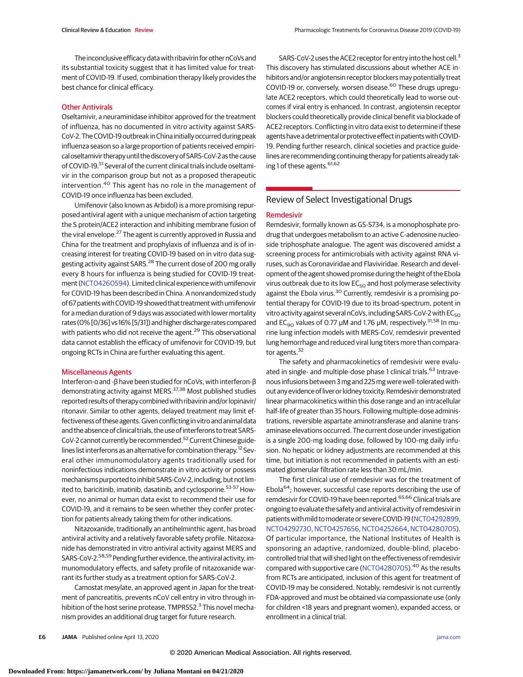The inconclusiveefficacy data with ribavirin for other nCoVs and its substantial toxicity suggest that it has limited value for treatment of COVID-19. If used, combination therapy likely provides the best chance for clinical efficacy.

### Other Antivirals

Oseltamivir, a neuraminidase inhibitor approved for the treatment of influenza, has no documented in vitro activity against SARS-CoV-2. The COVID-19 outbreak in China initially occurred during peak influenza season so a large proportion of patients received empirical oseltamivir therapy until the discovery ofSARS-CoV-2as the cause of COVID-19.<sup>51</sup> Several of the current clinical trials include oseltamivir in the comparison group but not as a proposed therapeutic intervention.<sup>40</sup> This agent has no role in the management of COVID-19 once influenza has been excluded.

Umifenovir (also known as Arbidol) is a more promising repurposed antiviral agent with a unique mechanism of action targeting the S protein/ACE2 interaction and inhibiting membrane fusion of the viral envelope.<sup>27</sup> The agent is currently approved in Russia and China for the treatment and prophylaxis of influenza and is of increasing interest for treating COVID-19 based on in vitro data suggesting activity against SARS.<sup>28</sup> The current dose of 200 mg orally every 8 hours for influenza is being studied for COVID-19 treatment [\(NCT04260594\)](https://clinicaltrials.gov/ct2/show/NCT04260594). Limited clinical experience with umifenovir for COVID-19 has been described in China. A nonrandomized study of 67 patients with COVID-19 showed that treatment with umifenovir for a median duration of 9 days was associated with lower mortality rates (0% [0/36] vs 16% [5/31]) and higher discharge rates compared with patients who did not receive the agent.<sup>29</sup> This observational data cannot establish the efficacy of umifenovir for COVID-19, but ongoing RCTs in China are further evaluating this agent.

### Miscellaneous Agents

Interferon-α and -β have been studied for nCoVs, with interferon-β demonstrating activity against MERS.<sup>37,38</sup> Most published studies reported results of therapy combined with ribavirin and/or lopinavir/ ritonavir. Similar to other agents, delayed treatment may limit effectiveness of these agents. Given conflicting in vitro and animal data and the absence of clinical trials, the use of interferons to treat SARS-CoV-2 cannot currently be recommended.<sup>52</sup> Current Chinese guidelines list interferons as an alternative for combination therapy.12 Several other immunomodulatory agents traditionally used for noninfectious indications demonstrate in vitro activity or possess mechanisms purported to inhibitSARS-CoV-2, including, but not limited to, baricitinib, imatinib, dasatinib, and cyclosporine.<sup>53-57</sup> However, no animal or human data exist to recommend their use for COVID-19, and it remains to be seen whether they confer protection for patients already taking them for other indications.

Nitazoxanide, traditionally an antihelminthic agent, has broad antiviral activity and a relatively favorable safety profile. Nitazoxanide has demonstrated in vitro antiviral activity against MERS and SARS-CoV-2.58,59 Pending further evidence, the antiviral activity, immunomodulatory effects, and safety profile of nitazoxanide warrant its further study as a treatment option for SARS-CoV-2.

Camostat mesylate, an approved agent in Japan for the treatment of pancreatitis, prevents nCoV cell entry in vitro through inhibition of the host serine protease, TMPRSS2.<sup>3</sup> This novel mechanism provides an additional drug target for future research.

SARS-CoV-2 uses the ACE2 receptor for entry into the host cell.<sup>3</sup> This discovery has stimulated discussions about whether ACE inhibitors and/or angiotensin receptor blockers may potentially treat COVID-19 or, conversely, worsen disease.<sup>60</sup> These drugs upregulate ACE2 receptors, which could theoretically lead to worse outcomes if viral entry is enhanced. In contrast, angiotensin receptor blockers could theoretically provide clinical benefit via blockade of ACE2 receptors. Conflicting in vitro data exist to determine if these agents have a detrimental or protective effect in patients with COVID-19. Pending further research, clinical societies and practice guidelines are recommending continuing therapy for patients already taking 1 of these agents. 61,62

# Review of Select Investigational Drugs

### Remdesivir

Remdesivir, formally known as GS-5734, is a monophosphate prodrug that undergoes metabolism to an active C-adenosine nucleoside triphosphate analogue. The agent was discovered amidst a screening process for antimicrobials with activity against RNA viruses, such as Coronaviridae and Flaviviridae. Research and development of the agent showed promise during the height of the Ebola virus outbreak due to its low  $EC_{50}$  and host polymerase selectivity against the Ebola virus.<sup>30</sup> Currently, remdesivir is a promising potential therapy for COVID-19 due to its broad-spectrum, potent in vitro activity against several nCoVs, including SARS-CoV-2 with  $EC_{50}$ and EC<sub>90</sub> values of 0.77  $\mu$ M and 1.76  $\mu$ M, respectively.<sup>31,58</sup> In murine lung infection models with MERS-CoV, remdesivir prevented lung hemorrhage and reduced viral lung titers more than comparator agents.<sup>32</sup>

The safety and pharmacokinetics of remdesivir were evaluated in single- and multiple-dose phase 1 clinical trials.<sup>63</sup> Intravenous infusions between 3 mg and 225 mg were well-tolerated without any evidence of liver or kidney toxicity. Remdesivir demonstrated linear pharmacokinetics within this dose range and an intracellular half-life of greater than 35 hours. Following multiple-dose administrations, reversible aspartate aminotransferase and alanine transaminase elevations occurred. The current dose under investigation is a single 200-mg loading dose, followed by 100-mg daily infusion. No hepatic or kidney adjustments are recommended at this time, but initiation is not recommended in patients with an estimated glomerular filtration rate less than 30 mL/min.

The first clinical use of remdesivir was for the treatment of Ebola64; however, successful case reports describing the use of remdesivir for COVID-19 have been reported.<sup>65,66</sup> Clinical trials are ongoing to evaluate the safety and antiviral activity of remdesivir in patients with mild to moderate or severe COVID-19 [\(NCT04292899,](https://clinicaltrials.gov/ct2/show/NCT04292899) [NCT04292730,](https://clinicaltrials.gov/ct2/show/NCT04292730)[NCT04257656,](https://clinicaltrials.gov/ct2/show/NCT04257656)[NCT04252664,](https://clinicaltrials.gov/ct2/show/NCT04252664)[NCT04280705\)](https://clinicaltrials.gov/ct2/show/NCT04280705). Of particular importance, the National Institutes of Health is sponsoring an adaptive, randomized, double-blind, placebocontrolled trial that will shed light on the effectiveness of remdesivir compared with supportive care [\(NCT04280705\)](https://clinicaltrials.gov/ct2/show/NCT04280705).<sup>40</sup> As the results from RCTs are anticipated, inclusion of this agent for treatment of COVID-19 may be considered. Notably, remdesivir is not currently FDA-approved and must be obtained via compassionate use (only for children <18 years and pregnant women), expanded access, or enrollment in a clinical trial.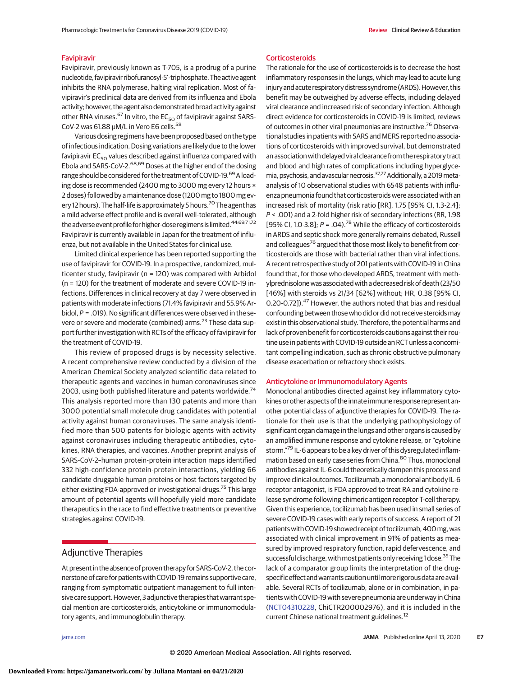### Favipiravir

Favipiravir, previously known as T-705, is a prodrug of a purine nucleotide, favipiravir ribofuranosyl-5'-triphosphate. The active agent inhibits the RNA polymerase, halting viral replication. Most of favipiravir's preclinical data are derived from its influenza and Ebola activity; however, the agent also demonstrated broad activity against other RNA viruses.<sup>67</sup> In vitro, the  $EC_{50}$  of favipiravir against SARS-CoV-2 was 61.88 μM/L in Vero E6 cells.<sup>58</sup>

Various dosing regimens have been proposed based on the type of infectious indication. Dosing variations are likely due to the lower favipiravir  $EC_{50}$  values described against influenza compared with Ebola and SARS-CoV-2.68,69 Doses at the higher end of the dosing range should be considered for the treatment of COVID-19.<sup>69</sup> A loading dose is recommended (2400 mg to 3000 mg every 12 hours × 2 doses) followed by a maintenance dose (1200 mg to 1800 mg every 12 hours). The half-life is approximately 5 hours.<sup>70</sup> The agent has a mild adverse effect profile and is overall well-tolerated, although the adverse event profile for higher-dose regimens is limited.<sup>44,69,71,72</sup> Favipiravir is currently available in Japan for the treatment of influenza, but not available in the United States for clinical use.

Limited clinical experience has been reported supporting the use of favipiravir for COVID-19. In a prospective, randomized, multicenter study, favipiravir (n = 120) was compared with Arbidol (n = 120) for the treatment of moderate and severe COVID-19 infections. Differences in clinical recovery at day 7 were observed in patients with moderate infections (71.4% favipiravir and 55.9% Arbidol,  $P = .019$ ). No significant differences were observed in the severe or severe and moderate (combined) arms.<sup>73</sup> These data support further investigation with RCTs of the efficacy of favipiravir for the treatment of COVID-19.

This review of proposed drugs is by necessity selective. A recent comprehensive review conducted by a division of the American Chemical Society analyzed scientific data related to therapeutic agents and vaccines in human coronaviruses since 2003, using both published literature and patents worldwide.<sup>74</sup> This analysis reported more than 130 patents and more than 3000 potential small molecule drug candidates with potential activity against human coronaviruses. The same analysis identified more than 500 patents for biologic agents with activity against coronaviruses including therapeutic antibodies, cytokines, RNA therapies, and vaccines. Another preprint analysis of SARS-CoV-2–human protein-protein interaction maps identified 332 high-confidence protein-protein interactions, yielding 66 candidate druggable human proteins or host factors targeted by either existing FDA-approved or investigational drugs.<sup>75</sup> This large amount of potential agents will hopefully yield more candidate therapeutics in the race to find effective treatments or preventive strategies against COVID-19.

## Adjunctive Therapies

At present in the absence of proven therapy for SARS-CoV-2, the cornerstone of care for patientswith COVID-19 remains supportive care, ranging from symptomatic outpatient management to full intensive care support. However, 3 adjunctive therapies that warrant special mention are corticosteroids, anticytokine or immunomodulatory agents, and immunoglobulin therapy.

**Corticosteroids** 

The rationale for the use of corticosteroids is to decrease the host inflammatory responses in the lungs, which may lead to acute lung injury and acute respiratory distress syndrome (ARDS). However, this benefit may be outweighed by adverse effects, including delayed viral clearance and increased risk of secondary infection. Although direct evidence for corticosteroids in COVID-19 is limited, reviews of outcomes in other viral pneumonias are instructive.<sup>76</sup> Observational studies in patients with SARS and MERS reported no associations of corticosteroids with improved survival, but demonstrated an association with delayed viral clearance from the respiratory tract and blood and high rates of complications including hyperglycemia, psychosis, and avascular necrosis.<sup>37,77</sup> Additionally, a 2019 metaanalysis of 10 observational studies with 6548 patients with influenza pneumonia found that corticosteroids were associated with an increased risk of mortality (risk ratio [RR], 1.75 [95% CI, 1.3-2.4]; P < .001) and a 2-fold higher risk of secondary infections (RR, 1.98 [95% CI, 1.0-3.8];  $P = .04$ .<sup>78</sup> While the efficacy of corticosteroids in ARDS and septic shock more generally remains debated, Russell and colleagues<sup>76</sup> argued that those most likely to benefit from corticosteroids are those with bacterial rather than viral infections. A recent retrospective study of 201 patients with COVID-19 in China found that, for those who developed ARDS, treatment with methylprednisolone was associated with a decreased risk of death (23/50 [46%] with steroids vs 21/34 [62%] without; HR, 0.38 [95% CI, 0.20-0.72]).<sup>47</sup> However, the authors noted that bias and residual confounding between those who did or did not receive steroidsmay exist in this observational study. Therefore, the potential harms and lack of proven benefit for corticosteroids cautions against their routine use in patients with COVID-19 outside an RCT unless a concomitant compelling indication, such as chronic obstructive pulmonary disease exacerbation or refractory shock exists.

### Anticytokine or Immunomodulatory Agents

Monoclonal antibodies directed against key inflammatory cytokines or other aspects of the innate immune response represent another potential class of adjunctive therapies for COVID-19. The rationale for their use is that the underlying pathophysiology of significant organ damage in the lungs and other organs is caused by an amplified immune response and cytokine release, or "cytokine storm."79 IL-6 appears to be a key driver of this dysregulated inflammation based on early case series from China.<sup>80</sup> Thus, monoclonal antibodies against IL-6 could theoretically dampen this process and improve clinical outcomes. Tocilizumab, amonoclonal antibody IL-6 receptor antagonist, is FDA approved to treat RA and cytokine release syndrome following chimeric antigen receptor T-cell therapy. Given this experience, tocilizumab has been used in small series of severe COVID-19 cases with early reports of success. A report of 21 patients with COVID-19 showed receipt of tocilizumab, 400mg, was associated with clinical improvement in 91% of patients as measured by improved respiratory function, rapid defervescence, and successful discharge, with most patients only receiving 1 dose.<sup>35</sup> The lack of a comparator group limits the interpretation of the drugspecific effect and warrants caution until more rigorous data are available. Several RCTs of tocilizumab, alone or in combination, in patients with COVID-19 with severe pneumonia are underway in China [\(NCT04310228,](https://clinicaltrials.gov/ct2/show/NCT04310228) ChiCTR200002976), and it is included in the current Chinese national treatment guidelines.<sup>12</sup>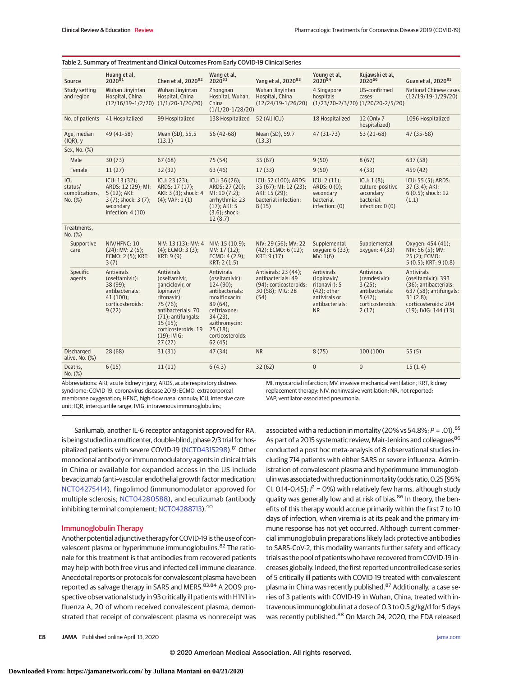|                                             | Table 2. Summary of Treatment and Clinical Outcomes From Early COVID-19 Clinical Series                          |                                                                                                                                                                                                               |                                                                                                                                                                                            |                                                                                                   |                                                                                                               |                                                                                                           |                                                                                                                                                                |
|---------------------------------------------|------------------------------------------------------------------------------------------------------------------|---------------------------------------------------------------------------------------------------------------------------------------------------------------------------------------------------------------|--------------------------------------------------------------------------------------------------------------------------------------------------------------------------------------------|---------------------------------------------------------------------------------------------------|---------------------------------------------------------------------------------------------------------------|-----------------------------------------------------------------------------------------------------------|----------------------------------------------------------------------------------------------------------------------------------------------------------------|
| Source                                      | Huang et al,<br>$2020^{91}$                                                                                      | Chen et al, 202092                                                                                                                                                                                            | Wang et al,<br>$2020^{51}$                                                                                                                                                                 | Yang et al, 202093                                                                                | Young et al,<br>$2020^{94}$                                                                                   | Kujawski et al.<br>$2020^{66}$                                                                            | Guan et al, 202095                                                                                                                                             |
| Study setting<br>and region                 | Wuhan Jinyintan<br>Hospital, China<br>$(12/16/19-1/2/20)$                                                        | Wuhan Jinyintan<br>Hospital, China<br>$(1/1/20-1/20/20)$                                                                                                                                                      | Zhongnan<br>Hospital, Wuhan,<br>China<br>$(1/1/20-1/28/20)$                                                                                                                                | Wuhan Jinyintan<br>Hospital, China<br>$(12/24/19-1/26/20)$                                        | 4 Singapore<br>hospitals                                                                                      | US-confirmed<br>cases<br>$(1/23/20-2/3/20)$ $(1/20/20-2/5/20)$                                            | National Chinese cases<br>$(12/19/19-1/29/20)$                                                                                                                 |
| No. of patients                             | 41 Hospitalized                                                                                                  | 99 Hospitalized                                                                                                                                                                                               | 138 Hospitalized                                                                                                                                                                           | 52 (All ICU)                                                                                      | 18 Hospitalized                                                                                               | 12 (Only 7)<br>hospitalized)                                                                              | 1096 Hospitalized                                                                                                                                              |
| Age, median<br>$I(QR)$ , y                  | 49 (41-58)                                                                                                       | Mean (SD), 55.5<br>(13.1)                                                                                                                                                                                     | $56(42-68)$                                                                                                                                                                                | Mean (SD), 59.7<br>(13.3)                                                                         | $47(31-73)$                                                                                                   | $53(21-68)$                                                                                               | 47 (35-58)                                                                                                                                                     |
| Sex, No. (%)                                |                                                                                                                  |                                                                                                                                                                                                               |                                                                                                                                                                                            |                                                                                                   |                                                                                                               |                                                                                                           |                                                                                                                                                                |
| Male                                        | 30(73)                                                                                                           | 67(68)                                                                                                                                                                                                        | 75(54)                                                                                                                                                                                     | 35(67)                                                                                            | 9(50)                                                                                                         | 8(67)                                                                                                     | 637 (58)                                                                                                                                                       |
| Female                                      | 11(27)                                                                                                           | 32(32)                                                                                                                                                                                                        | 63(46)                                                                                                                                                                                     | 17(33)                                                                                            | 9(50)                                                                                                         | 4(33)                                                                                                     | 459 (42)                                                                                                                                                       |
| ICU<br>status/<br>complications,<br>No. (%) | ICU: 13 (32);<br>ARDS: 12 (29); MI:<br>$5(12)$ ; AKI:<br>3 (7); shock: 3 (7);<br>secondary<br>infection: $4(10)$ | ICU: 23 (23);<br>ARDS: 17 (17);<br>AKI: 3 (3); shock: 4<br>$(4)$ ; VAP: $1(1)$                                                                                                                                | $ICU: 36(26)$ ;<br>ARDS: 27 (20);<br>MI: 10(7.2);<br>arrhythmia: 23<br>$(17)$ ; AKI: 5<br>$(3.6)$ ; shock:<br>12(8.7)                                                                      | ICU: 52 (100); ARDS:<br>35 (67); MI: 12 (23);<br>AKI: 15 (29);<br>bacterial infection:<br>8(15)   | ICU: 2(11);<br>ARDS: 0(0);<br>secondary<br>bacterial<br>infection: (0)                                        | ICU: 1(8)<br>culture-positive<br>secondary<br>bacterial<br>infection: $0(0)$                              | ICU: 55 (5); ARDS:<br>37 (3.4); AKI:<br>6 (0.5); shock: 12<br>(1.1)                                                                                            |
| Treatments,<br>No. (%)                      |                                                                                                                  |                                                                                                                                                                                                               |                                                                                                                                                                                            |                                                                                                   |                                                                                                               |                                                                                                           |                                                                                                                                                                |
| Supportive<br>care                          | NIV/HFNC: 10<br>$(24)$ ; MV: 2 $(5)$ ;<br>ECMO: 2 (5); KRT:<br>3(7)                                              | NIV: 13 (13); MV: 4<br>$(4)$ : ECMO: 3 $(3)$ :<br>KRT: 9(9)                                                                                                                                                   | NIV: 15 (10.9);<br>MV: 17(12):<br>ECMO: $4(2.9)$ ;<br>KRT: 2(1.5)                                                                                                                          | NIV: 29 (56); MV: 22<br>$(42)$ : ECMO: 6 $(12)$ :<br>KRT: 9 (17)                                  | Supplemental<br>oxygen: 6 (33):<br>MV: 1(6)                                                                   | Supplemental<br>oxygen: 4 (33)                                                                            | Oxygen: 454 (41);<br>NIV: 56 (5); MV:<br>25 (2); ECMO:<br>$5(0.5)$ ; KRT: $9(0.8)$                                                                             |
| Specific<br>agents                          | Antivirals<br>(oseltamivir):<br>38 (99);<br>antibacterials:<br>41(100);<br>corticosteroids:<br>9(22)             | <b>Antivirals</b><br>(oseltamivir,<br>ganciclovir, or<br>lopinavir/<br>ritonavir):<br>$75(76)$ ;<br>antibacterials: 70<br>(71); antifungals:<br>$15(15)$ ;<br>corticosteroids: 19<br>$(19)$ ; IVIG:<br>27(27) | <b>Antivirals</b><br>(oseltamivir):<br>$124(90)$ ;<br>antibacterials:<br>moxifloxacin:<br>89 (64),<br>ceftriaxone:<br>$34(23)$ ,<br>azithromycin:<br>25(18):<br>corticosteroids:<br>62(45) | Antivirals: 23 (44);<br>antibacterials: 49<br>(94); corticosteroids:<br>30 (58); IVIG: 28<br>(54) | Antivirals<br>(lopinavir/<br>ritonavir): 5<br>$(42)$ ; other<br>antivirals or<br>antibacterials:<br><b>NR</b> | <b>Antivirals</b><br>(remdesivir):<br>$3(25)$ ;<br>antibacterials:<br>5(42);<br>corticosteroids:<br>2(17) | <b>Antivirals</b><br>(oseltamivir): 393<br>(36); antibacterials:<br>637 (58); antifungals:<br>$31(2.8)$ ;<br>corticosteroids: 204<br>$(19)$ ; IVIG: 144 $(13)$ |
| Discharged<br>alive, No. (%)                | 28(68)                                                                                                           | 31(31)                                                                                                                                                                                                        | 47(34)                                                                                                                                                                                     | <b>NR</b>                                                                                         | 8(75)                                                                                                         | 100(100)                                                                                                  | 55(5)                                                                                                                                                          |
| Deaths,<br>No. (%)                          | 6(15)<br>$-1$ $-1$ $-1$                                                                                          | 11(11)                                                                                                                                                                                                        | 6(4.3)                                                                                                                                                                                     | 32(62)<br>$\mathbf{r}$ and $\mathbf{r}$                                                           | $\mathbf{0}$                                                                                                  | $\mathbf{0}$                                                                                              | 15(1.4)<br>$1/12 = 1/1$                                                                                                                                        |

Abbreviations: AKI, acute kidney injury; ARDS, acute respiratory distress syndrome; COVID-19, coronavirus disease 2019; ECMO, extracorporeal membrane oxygenation; HFNC, high-flow nasal cannula; ICU, intensive care unit; IQR, interquartile range; IVIG, intravenous immunoglobulins;

MI, myocardial infarction; MV, invasive mechanical ventilation; KRT, kidney replacement therapy; NIV, noninvasive ventilation; NR, not reported; VAP, ventilator-associated pneumonia.

Sarilumab, another IL-6 receptor antagonist approved for RA, is being studied in amulticenter, double-blind, phase 2/3 trial for hos-pitalized patients with severe COVID-19 [\(NCT04315298\)](https://clinicaltrials.gov/ct2/show/NCT04315298).<sup>81</sup> Other monoclonal antibody or immunomodulatory agents in clinical trials in China or available for expanded access in the US include bevacizumab (anti–vascular endothelial growth factor medication; [NCT04275414\)](https://clinicaltrials.gov/ct2/show/NCT04275414), fingolimod (immunomodulator approved for multiple sclerosis; [NCT04280588\)](https://clinicaltrials.gov/ct2/show/NCT04280588), and eculizumab (antibody inhibiting terminal complement; [NCT04288713\)](https://clinicaltrials.gov/ct2/show/NCT04288713).<sup>40</sup>

### Immunoglobulin Therapy

Another potential adjunctive therapy for COVID-19 is the use of convalescent plasma or hyperimmune immunoglobulins.<sup>82</sup> The rationale for this treatment is that antibodies from recovered patients may help with both free virus and infected cell immune clearance. Anecdotal reports or protocols for convalescent plasma have been reported as salvage therapy in SARS and MERS.<sup>83,84</sup> A 2009 prospective observational study in 93 critically ill patients with H1N1 influenza A, 20 of whom received convalescent plasma, demonstrated that receipt of convalescent plasma vs nonreceipt was

associated with a reduction in mortality (20% vs 54.8%;  $P = .01$ ).<sup>85</sup> As part of a 2015 systematic review, Mair-Jenkins and colleagues<sup>86</sup> conducted a post hoc meta-analysis of 8 observational studies including 714 patients with either SARS or severe influenza. Administration of convalescent plasma and hyperimmune immunoglobulin was associated with reduction in mortality (odds ratio, 0.25 [95% CI, 0.14-0.45];  $l^2 = 0$ %) with relatively few harms, although study quality was generally low and at risk of bias.<sup>86</sup> In theory, the benefits of this therapy would accrue primarily within the first 7 to 10 days of infection, when viremia is at its peak and the primary immune response has not yet occurred. Although current commercial immunoglobulin preparations likely lack protective antibodies to SARS-CoV-2, this modality warrants further safety and efficacy trials as the pool of patients who have recovered from COVID-19 increases globally. Indeed, the first reported uncontrolled case series of 5 critically ill patients with COVID-19 treated with convalescent plasma in China was recently published.<sup>87</sup> Additionally, a case series of 3 patients with COVID-19 in Wuhan, China, treated with intravenous immunoglobulin at a dose of 0.3 to 0.5 g/kg/d for 5 days was recently published.<sup>88</sup> On March 24, 2020, the FDA released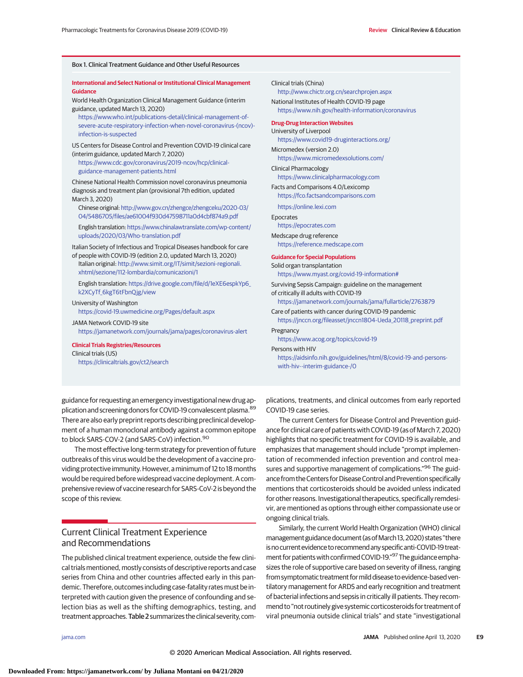Box 1. Clinical Treatment Guidance and Other Useful Resources

| <b>International and Select National or Institutional Clinical Management</b><br>Guidance<br>World Health Organization Clinical Management Guidance (interim<br>guidance, updated March 13, 2020)<br>https://www.who.int/publications-detail/clinical-management-of-<br>severe-acute-respiratory-infection-when-novel-coronavirus-(ncov)-<br>infection-is-suspected<br>US Centers for Disease Control and Prevention COVID-19 clinical care<br>(interim guidance, updated March 7, 2020)<br>https://www.cdc.gov/coronavirus/2019-ncov/hcp/clinical-<br>guidance-management-patients.html | Clinical trials (China)<br>http://www.chictr.org.cn/searchprojen.aspx<br>National Institutes of Health COVID-19 page<br>https://www.nih.gov/health-information/coronavirus<br><b>Drug-Drug Interaction Websites</b><br>University of Liverpool<br>https://www.covid19-druginteractions.org/<br>Micromedex (version 2.0)<br>https://www.micromedexsolutions.com/<br><b>Clinical Pharmacology</b><br>https://www.clinicalpharmacology.com<br>Facts and Comparisons 4.0/Lexicomp<br>https://fco.factsandcomparisons.com<br>https://online.lexi.com<br>Epocrates<br>https://epocrates.com<br>Medscape drug reference<br>https://reference.medscape.com<br><b>Guidance for Special Populations</b><br>Solid organ transplantation<br>https://www.myast.org/covid-19-information#<br>Surviving Sepsis Campaign: guideline on the management<br>of critically ill adults with COVID-19 |  |  |  |
|------------------------------------------------------------------------------------------------------------------------------------------------------------------------------------------------------------------------------------------------------------------------------------------------------------------------------------------------------------------------------------------------------------------------------------------------------------------------------------------------------------------------------------------------------------------------------------------|---------------------------------------------------------------------------------------------------------------------------------------------------------------------------------------------------------------------------------------------------------------------------------------------------------------------------------------------------------------------------------------------------------------------------------------------------------------------------------------------------------------------------------------------------------------------------------------------------------------------------------------------------------------------------------------------------------------------------------------------------------------------------------------------------------------------------------------------------------------------------------|--|--|--|
| Chinese National Health Commission novel coronavirus pneumonia<br>diagnosis and treatment plan (provisional 7th edition, updated<br>March 3, 2020)<br>Chinese original: http://www.gov.cn/zhengce/zhengceku/2020-03/<br>04/5486705/files/ae61004f930d47598711a0d4cbf874a9.pdf<br>English translation: https://www.chinalawtranslate.com/wp-content/<br>uploads/2020/03/Who-translation.pdf                                                                                                                                                                                               |                                                                                                                                                                                                                                                                                                                                                                                                                                                                                                                                                                                                                                                                                                                                                                                                                                                                                 |  |  |  |
| Italian Society of Infectious and Tropical Diseases handbook for care<br>of people with COVID-19 (edition 2.0, updated March 13, 2020)<br>Italian original: http://www.simit.org/IT/simit/sezioni-regionali.<br>xhtml/sezione/112-lombardia/comunicazioni/1<br>English translation: https://drive.google.com/file/d/1eXE6espkYp6_<br>k2XCyTf 6kgT6tFbnQjg/view                                                                                                                                                                                                                           |                                                                                                                                                                                                                                                                                                                                                                                                                                                                                                                                                                                                                                                                                                                                                                                                                                                                                 |  |  |  |
| University of Washington<br>https://covid-19.uwmedicine.org/Pages/default.aspx<br>JAMA Network COVID-19 site<br>https://jamanetwork.com/journals/jama/pages/coronavirus-alert<br><b>Clinical Trials Registries/Resources</b><br>Clinical trials (US)<br>https://clinicaltrials.gov/ct2/search                                                                                                                                                                                                                                                                                            | https://jamanetwork.com/journals/jama/fullarticle/2763879<br>Care of patients with cancer during COVID-19 pandemic<br>https://inccn.org/fileasset/inccn1804-Ueda 20118 preprint.pdf<br>Pregnancy<br>https://www.acog.org/topics/covid-19<br>Persons with HIV<br>https://aidsinfo.nih.gov/guidelines/html/8/covid-19-and-persons-<br>with-hiv--interim-guidance-/0                                                                                                                                                                                                                                                                                                                                                                                                                                                                                                               |  |  |  |

guidance for requesting an emergency investigational new drug application and screening donors for COVID-19 convalescent plasma. <sup>89</sup> There are also early preprint reports describing preclinical development of a human monoclonal antibody against a common epitope to block SARS-COV-2 (and SARS-CoV) infection.<sup>90</sup>

The most effective long-term strategy for prevention of future outbreaks of this virus would be the development of a vaccine providing protective immunity. However, a minimum of 12 to 18 months would be required before widespread vaccine deployment. A comprehensive review of vaccine research for SARS-CoV-2 is beyond the scope of this review.

# Current Clinical Treatment Experience and Recommendations

The published clinical treatment experience, outside the few clinical trials mentioned, mostly consists of descriptive reports and case series from China and other countries affected early in this pandemic. Therefore, outcomes including case-fatality ratesmust be interpreted with caution given the presence of confounding and selection bias as well as the shifting demographics, testing, and treatment approaches. Table 2 summarizes the clinical severity, com-

plications, treatments, and clinical outcomes from early reported COVID-19 case series.

The current Centers for Disease Control and Prevention guidance for clinical care of patients with COVID-19 (as of March 7, 2020) highlights that no specific treatment for COVID-19 is available, and emphasizes that management should include "prompt implementation of recommended infection prevention and control measures and supportive management of complications."<sup>96</sup> The guidance from the Centers for Disease Control and Prevention specifically mentions that corticosteroids should be avoided unless indicated for other reasons. Investigational therapeutics, specifically remdesivir, are mentioned as options through either compassionate use or ongoing clinical trials.

Similarly, the current World Health Organization (WHO) clinical management guidance document (as of March 13, 2020) states "there is no current evidence to recommend any specific anti-COVID-19 treatment for patients with confirmed COVID-19."<sup>97</sup> The guidance emphasizes the role of supportive care based on severity of illness, ranging from symptomatic treatment for mild disease to evidence-based ventilatory management for ARDS and early recognition and treatment of bacterial infections and sepsis in critically ill patients. They recommend to "not routinely give systemic corticosteroids for treatment of viral pneumonia outside clinical trials" and state "investigational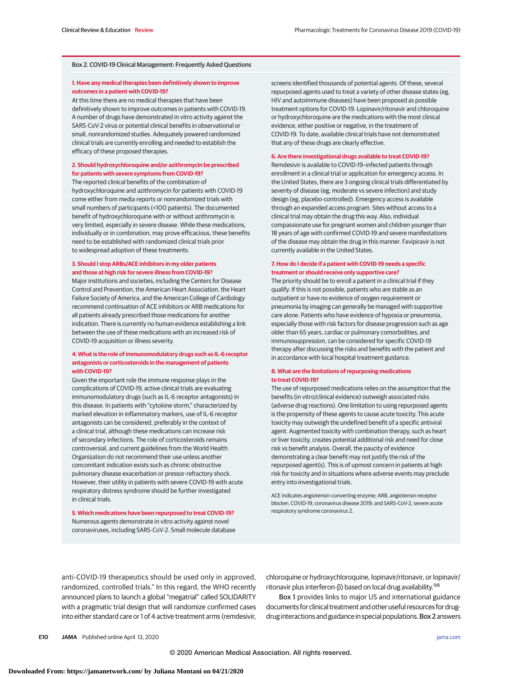### Box 2. COVID-19 Clinical Management: Frequently Asked Questions

### **1. Have any medical therapies been definitively shown to improve outcomes in a patient with COVID-19?**

At this time there are no medical therapies that have been definitively shown to improve outcomes in patients with COVID-19. A number of drugs have demonstrated in vitro activity against the SARS-CoV-2 virus or potential clinical benefits in observational or small, nonrandomized studies. Adequately powered randomized clinical trials are currently enrolling and needed to establish the efficacy of these proposed therapies.

### **2. Should hydroxychloroquine and/or azithromycin be prescribed for patients with severe symptoms from COVID-19?**

The reported clinical benefits of the combination of hydroxychloroquine and azithromycin for patients with COVID-19 come either from media reports or nonrandomized trials with small numbers of participants (<100 patients). The documented benefit of hydroxychloroquine with or without azithromycin is very limited, especially in severe disease. While these medications, individually or in combination, may prove efficacious, these benefits need to be established with randomized clinical trials prior to widespread adoption of these treatments.

### **3. Should I stop ARBs/ACE inhibitors in my older patients and those at high risk for severe illness from COVID-19?**

Major institutions and societies, including the Centers for Disease Control and Prevention, the American Heart Association, the Heart Failure Society of America, and the American College of Cardiology recommend continuation of ACE inhibitors or ARB medications for all patients already prescribed those medications for another indication. There is currently no human evidence establishing a link between the use of these medications with an increased risk of COVID-19 acquisition or illness severity.

### **4. What is the role of immunomodulatory drugs such as IL-6 receptor antagonists or corticosteroids in the management of patients with COVID-19?**

Given the important role the immune response plays in the complications of COVID-19, active clinical trials are evaluating immunomodulatory drugs (such as IL-6 receptor antagonists) in this disease. In patients with "cytokine storm," characterized by marked elevation in inflammatory markers, use of IL-6 receptor antagonists can be considered, preferably in the context of a clinical trial, although these medications can increase risk of secondary infections. The role of corticosteroids remains controversial, and current guidelines from the World Health Organization do not recommend their use unless another concomitant indication exists such as chronic obstructive pulmonary disease exacerbation or pressor-refractory shock. However, their utility in patients with severe COVID-19 with acute respiratory distress syndrome should be further investigated in clinical trials.

**5. Which medications have been repurposed to treat COVID-19?** Numerous agents demonstrate in vitro activity against novel coronaviruses, including SARS-CoV-2. Small molecule database screens identified thousands of potential agents. Of these, several repurposed agents used to treat a variety of other disease states (eg, HIV and autoimmune diseases) have been proposed as possible treatment options for COVID-19. Lopinavir/ritonavir and chloroquine or hydroxychloroquine are the medications with the most clinical evidence, either positive or negative, in the treatment of COVID-19. To date, available clinical trials have not demonstrated that any of these drugs are clearly effective.

### **6. Are there investigational drugs available to treat COVID-19?**

Remdesivir is available to COVID-19–infected patients through enrollment in a clinical trial or application for emergency access. In the United States, there are 3 ongoing clinical trials differentiated by severity of disease (eg, moderate vs severe infection) and study design (eg, placebo-controlled). Emergency access is available through an expanded access program. Sites without access to a clinical trial may obtain the drug this way. Also, individual compassionate use for pregnant women and children younger than 18 years of age with confirmed COVID-19 and severe manifestations of the disease may obtain the drug in this manner. Favipiravir is not currently available in the United States.

### **7. How do I decide if a patient with COVID-19 needs a specific treatment or should receive only supportive care?**

The priority should be to enroll a patient in a clinical trial if they qualify. If this is not possible, patients who are stable as an outpatient or have no evidence of oxygen requirement or pneumonia by imaging can generally be managed with supportive care alone. Patients who have evidence of hypoxia or pneumonia, especially those with risk factors for disease progression such as age older than 65 years, cardiac or pulmonary comorbidities, and immunosuppression, can be considered for specific COVID-19 therapy after discussing the risks and benefits with the patient and in accordance with local hospital treatment guidance.

### **8. What are the limitations of repurposing medications to treat COVID-19?**

The use of repurposed medications relies on the assumption that the benefits (in vitro/clinical evidence) outweigh associated risks (adverse drug reactions). One limitation to using repurposed agents is the propensity of these agents to cause acute toxicity. This acute toxicity may outweigh the undefined benefit of a specific antiviral agent. Augmented toxicity with combination therapy, such as heart or liver toxicity, creates potential additional risk and need for close risk vs benefit analysis. Overall, the paucity of evidence demonstrating a clear benefit may not justify the risk of the repurposed agent(s). This is of upmost concern in patients at high risk for toxicity and in situations where adverse events may preclude entry into investigational trials.

ACE indicates angiotensin-converting enzyme; ARB, angiotensin receptor blocker; COVID-19, coronavirus disease 2019; and SARS-CoV-2, severe acute respiratory syndrome coronavirus 2.

anti-COVID-19 therapeutics should be used only in approved, randomized, controlled trials." In this regard, the WHO recently announced plans to launch a global "megatrial" called SOLIDARITY with a pragmatic trial design that will randomize confirmed cases into either standard care or 1 of 4 active treatment arms (remdesivir,

chloroquine or hydroxychloroquine, lopinavir/ritonavir, or lopinavir/ ritonavir plus interferon-β) based on local drug availability.<sup>98</sup>

Box 1 provides links to major US and international guidance documents for clinical treatment and other useful resources for drugdrug interactions and guidance in special populations. Box 2 answers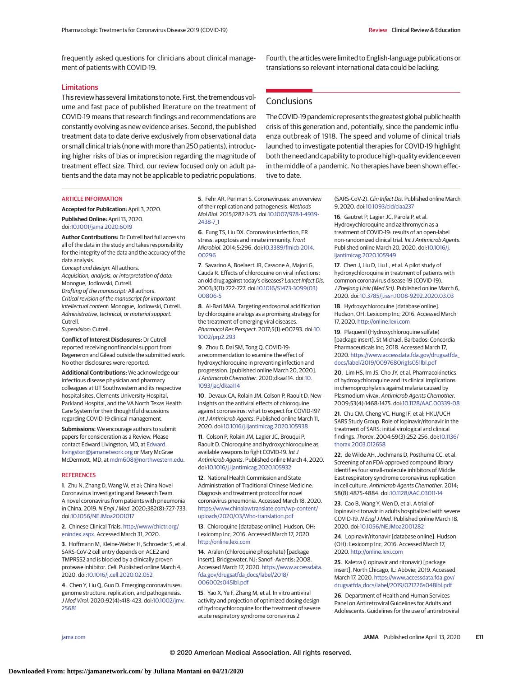frequently asked questions for clinicians about clinical management of patients with COVID-19.

### Limitations

This review has several limitations to note. First, the tremendous volume and fast pace of published literature on the treatment of COVID-19 means that research findings and recommendations are constantly evolving as new evidence arises. Second, the published treatment data to date derive exclusively from observational data or small clinical trials (none with more than 250 patients), introducing higher risks of bias or imprecision regarding the magnitude of treatment effect size. Third, our review focused only on adult patients and the data may not be applicable to pediatric populations.

Fourth, the articles were limited to English-language publications or translations so relevant international data could be lacking.

## **Conclusions**

The COVID-19 pandemic represents the greatest global public health crisis of this generation and, potentially, since the pandemic influenza outbreak of 1918. The speed and volume of clinical trials launched to investigate potential therapies for COVID-19 highlight both the need and capability to produce high-quality evidence even in the middle of a pandemic. No therapies have been shown effective to date.

#### ARTICLE INFORMATION

**Accepted for Publication:** April 3, 2020. **Published Online:** April 13, 2020. doi[:10.1001/jama.2020.6019](https://jamanetwork.com/journals/jama/fullarticle/10.1001/jama.2020.6019?utm_campaign=articlePDF%26utm_medium=articlePDFlink%26utm_source=articlePDF%26utm_content=jama.2020.6019)

**Author Contributions:** Dr Cutrell had full access to all of the data in the study and takes responsibility for the integrity of the data and the accuracy of the data analysis.

Concept and design: All authors.

Acquisition, analysis, or interpretation of data: Monogue, Jodlowski, Cutrell. Drafting of the manuscript: All authors. Critical revision of the manuscript for important intellectual content: Monogue, Jodlowski, Cutrell. Administrative, technical, or material support:

Cutrell. Supervision: Cutrell.

**Conflict of Interest Disclosures:** Dr Cutrell reported receiving nonfinancial support from Regeneron and Gilead outside the submitted work. No other disclosures were reported.

**Additional Contributions:** We acknowledge our infectious disease physician and pharmacy colleagues at UT Southwestern and its respective hospital sites, Clements University Hospital, Parkland Hospital, and the VA North Texas Health Care System for their thoughtful discussions regarding COVID-19 clinical management.

**Submissions:** We encourage authors to submit papers for consideration as a Review. Please contact Edward Livingston, MD, at [Edward.](mailto:Edward.livingston@jamanetwork.org) [livingston@jamanetwork.org](mailto:Edward.livingston@jamanetwork.org) or Mary McGrae McDermott, MD, at [mdm608@northwestern.edu.](mailto:mdm608@northwestern.edu)

#### **REFERENCES**

**1**. Zhu N, Zhang D, Wang W, et al; China Novel Coronavirus Investigating and Research Team. A novel coronavirus from patients with pneumonia in China, 2019. N Engl J Med. 2020;382(8):727-733. doi[:10.1056/NEJMoa2001017](https://dx.doi.org/10.1056/NEJMoa2001017)

**2**. Chinese Clinical Trials. [http://www/chictr.org/](http://www/chictr.org/enindex.aspx) [enindex.aspx.](http://www/chictr.org/enindex.aspx) Accessed March 31, 2020.

**3**. Hoffmann M, Kleine-Weber H, Schroeder S, et al. SARS-CoV-2 cell entry depends on ACE2 and TMPRSS2 and is blocked by a clinically proven protease inhibitor. Cell. Published online March 4, 2020. doi[:10.1016/j.cell.2020.02.052](https://dx.doi.org/10.1016/j.cell.2020.02.052)

**4**. Chen Y, Liu Q, Guo D. Emerging coronaviruses: genome structure, replication, and pathogenesis. J Med Virol. 2020;92(4):418-423. doi[:10.1002/jmv.](https://dx.doi.org/10.1002/jmv.25681) [25681](https://dx.doi.org/10.1002/jmv.25681)

**5**. Fehr AR, Perlman S. Coronaviruses: an overview of their replication and pathogenesis. Methods Mol Biol. 2015;1282:1-23. doi[:10.1007/978-1-4939-](https://dx.doi.org/10.1007/978-1-4939-2438-7_1) [2438-7\\_1](https://dx.doi.org/10.1007/978-1-4939-2438-7_1)

**6**. Fung TS, Liu DX. Coronavirus infection, ER stress, apoptosis and innate immunity. Front Microbiol. 2014;5:296. doi[:10.3389/fmicb.2014.](https://dx.doi.org/10.3389/fmicb.2014.00296) [00296](https://dx.doi.org/10.3389/fmicb.2014.00296)

**7**. Savarino A, Boelaert JR, Cassone A, Majori G, Cauda R. Effects of chloroquine on viral infections: an old drug against today's diseases? Lancet Infect Dis. 2003;3(11):722-727. doi[:10.1016/S1473-3099\(03\)](https://dx.doi.org/10.1016/S1473-3099(03)00806-5) [00806-5](https://dx.doi.org/10.1016/S1473-3099(03)00806-5)

**8**. Al-Bari MAA. Targeting endosomal acidification by chloroquine analogs as a promising strategy for the treatment of emerging viral diseases. Pharmacol Res Perspect. 2017;5(1):e00293. doi[:10.](https://dx.doi.org/10.1002/prp2.293) [1002/prp2.293](https://dx.doi.org/10.1002/prp2.293)

**9**. Zhou D, Dai SM, Tong Q. COVID-19: a recommendation to examine the effect of hydroxychloroquine in preventing infection and progression. [published online March 20, 2020]. J Antimicrob Chemother. 2020;dkaa114. doi[:10.](https://dx.doi.org/10.1093/jac/dkaa114) [1093/jac/dkaa114](https://dx.doi.org/10.1093/jac/dkaa114)

**10**. Devaux CA, Rolain JM, Colson P, Raoult D. New insights on the antiviral effects of chloroquine against coronavirus: what to expect for COVID-19? Int J Antimicrob Agents. Published online March 11, 2020. doi[:10.1016/j.ijantimicag.2020.105938](https://dx.doi.org/10.1016/j.ijantimicag.2020.105938)

**11**. Colson P, Rolain JM, Lagier JC, Brouqui P, Raoult D. Chloroquine and hydroxychloroquine as available weapons to fight COVID-19. Int J Antimicrob Agents. Published online March 4, 2020. doi[:10.1016/j.ijantimicag.2020.105932](https://dx.doi.org/10.1016/j.ijantimicag.2020.105932)

**12**. National Health Commission and State Administration of Traditional Chinese Medicine. Diagnosis and treatment protocol for novel coronavirus pneumonia. Accessed March 18, 2020. [https://www.chinalawtranslate.com/wp-content/](https://www.chinalawtranslate.com/wp-content/uploads/2020/03/Who-translation.pdf) [uploads/2020/03/Who-translation.pdf](https://www.chinalawtranslate.com/wp-content/uploads/2020/03/Who-translation.pdf)

**13**. Chloroquine [database online]. Hudson, OH: Lexicomp Inc; 2016. Accessed March 17, 2020. <http://online.lexi.com>

**14**. Aralen (chloroquine phosphate) [package insert]. Bridgewater, NJ: Sanofi-Aventis; 2008. Accessed March 17, 2020. [https://www.accessdata.](https://www.accessdata.fda.gov/drugsatfda_docs/label/2018/006002s045lbl.pdf) [fda.gov/drugsatfda\\_docs/label/2018/](https://www.accessdata.fda.gov/drugsatfda_docs/label/2018/006002s045lbl.pdf) [006002s045lbl.pdf](https://www.accessdata.fda.gov/drugsatfda_docs/label/2018/006002s045lbl.pdf)

**15**. Yao X, Ye F, Zhang M, et al. In vitro antiviral activity and projection of optimized dosing design of hydroxychloroquine for the treatment of severe acute respiratory syndrome coronavirus 2

(SARS-CoV-2). Clin Infect Dis. Published online March 9, 2020. doi[:10.1093/cid/ciaa237](https://dx.doi.org/10.1093/cid/ciaa237)

**16**. Gautret P, Lagier JC, Parola P, et al. Hydroxychloroquine and azithromycin as a treatment of COVID-19: results of an open-label non-randomized clinical trial. Int J Antimicrob Agents. Published online March 20, 2020. doi[:10.1016/j.](https://dx.doi.org/10.1016/j.ijantimicag.2020.105949) [ijantimicag.2020.105949](https://dx.doi.org/10.1016/j.ijantimicag.2020.105949)

**17**. Chen J, Liu D, Liu L, et al. A pilot study of hydroxychloroquine in treatment of patients with common coronavirus disease-19 (COVID-19). J Zhejiang Univ (Med Sci). Published online March 6, 2020. doi[:10.3785/j.issn.1008-9292.2020.03.03](https://dx.doi.org/10.3785/j.issn.1008-9292.2020.03.03)

**18**. Hydroxychloroquine [database online]. Hudson, OH: Lexicomp Inc; 2016. Accessed March 17, 2020. <http://online.lexi.com>

**19**. Plaquenil (Hydroxychloroquine sulfate) [package insert]. St Michael, Barbados: Concordia Pharmaceuticals Inc; 2018. Accessed March 17, 2020. [https://www.accessdata.fda.gov/drugsatfda\\_](https://www.accessdata.fda.gov/drugsatfda_docs/label/2019/009768Orig1s051lbl.pdf) [docs/label/2019/009768Orig1s051lbl.pdf](https://www.accessdata.fda.gov/drugsatfda_docs/label/2019/009768Orig1s051lbl.pdf)

**20**. Lim HS, Im JS, Cho JY, et al. Pharmacokinetics of hydroxychloroquine and its clinical implications in chemoprophylaxis against malaria caused by Plasmodium vivax. Antimicrob Agents Chemother. 2009;53(4):1468-1475. doi[:10.1128/AAC.00339-08](https://dx.doi.org/10.1128/AAC.00339-08)

**21**. Chu CM, Cheng VC, Hung IF, et al; HKU/UCH SARS Study Group. Role of lopinavir/ritonavir in the treatment of SARS: initial virological and clinical findings. Thorax. 2004;59(3):252-256. doi[:10.1136/](https://dx.doi.org/10.1136/thorax.2003.012658) [thorax.2003.012658](https://dx.doi.org/10.1136/thorax.2003.012658)

**22**. de Wilde AH, Jochmans D, Posthuma CC, et al. Screening of an FDA-approved compound library identifies four small-molecule inhibitors of Middle East respiratory syndrome coronavirus replication in cell culture. Antimicrob Agents Chemother. 2014; 58(8):4875-4884. doi[:10.1128/AAC.03011-14](https://dx.doi.org/10.1128/AAC.03011-14)

**23**. Cao B, Wang Y, Wen D, et al. A trial of lopinavir-ritonavir in adults hospitalized with severe COVID-19. N Engl J Med. Published online March 18, 2020. doi[:10.1056/NEJMoa2001282](https://dx.doi.org/10.1056/NEJMoa2001282)

**24**. Lopinavir/ritonavir [database online]. Hudson (OH): Lexicomp Inc; 2016. Accessed March 17, 2020. <http://online.lexi.com>

**25**. Kaletra (Lopinavir and ritonavir) [package insert]. North Chicago, IL: Abbvie; 2019. Accessed March 17, 2020. [https://www.accessdata.fda.gov/](https://www.accessdata.fda.gov/drugsatfda_docs/label/2019/021226s048lbl.pdf) [drugsatfda\\_docs/label/2019/021226s048lbl.pdf](https://www.accessdata.fda.gov/drugsatfda_docs/label/2019/021226s048lbl.pdf)

**26**. Department of Health and Human Services Panel on Antiretroviral Guidelines for Adults and Adolescents. Guidelines for the use of antiretroviral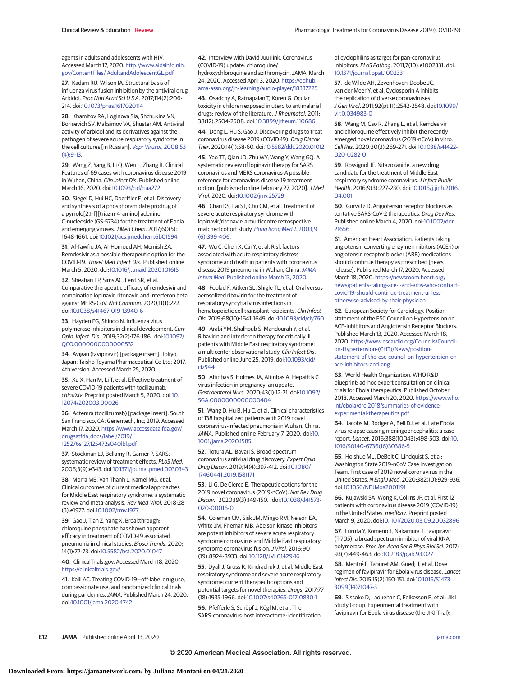agents in adults and adolescents with HIV. Accessed March 17, 2020. [http://www.aidsinfo.nih.](http://www.aidsinfo.nih.gov/ContentFiles/AdultandAdolescentGL.pdf) [gov/ContentFiles/ AdultandAdolescentGL.pdf](http://www.aidsinfo.nih.gov/ContentFiles/AdultandAdolescentGL.pdf)

**27**. Kadam RU, Wilson IA. Structural basis of influenza virus fusion inhibition by the antiviral drug Arbidol. Proc Natl Acad Sci USA. 2017;114(2):206-214. doi[:10.1073/pnas.1617020114](https://dx.doi.org/10.1073/pnas.1617020114)

**28**. Khamitov RA, Loginova SIa, Shchukina VN, Borisevich SV, Maksimov VA, Shuster AM. Antiviral activity of arbidol and its derivatives against the pathogen of severe acute respiratory syndrome in the cell cultures [in Russian]. [Vopr Virusol](https://www.ncbi.nlm.nih.gov/pubmed/18756809). 2008;53 [\(4\):9-13.](https://www.ncbi.nlm.nih.gov/pubmed/18756809)

**29**. Wang Z, Yang B, Li Q, Wen L, Zhang R. Clinical Features of 69 cases with coronavirus disease 2019 in Wuhan, China. Clin Infect Dis. Published online March 16, 2020. doi[:10.1093/cid/ciaa272](https://dx.doi.org/10.1093/cid/ciaa272)

**30**. Siegel D, Hui HC, Doerffler E, et al. Discovery and synthesis of a phosphoramidate prodrug of a pyrrolo[2,1-f][triazin-4-amino] adenine C-nucleoside (GS-5734) for the treatment of Ebola and emerging viruses.J Med Chem. 2017;60(5): 1648-1661. doi[:10.1021/acs.jmedchem.6b01594](https://dx.doi.org/10.1021/acs.jmedchem.6b01594)

**31**. Al-Tawfiq JA, Al-Homoud AH, Memish ZA. Remdesivir as a possible therapeutic option for the COVID-19. Travel Med Infect Dis. Published online March 5, 2020. doi[:10.1016/j.tmaid.2020.101615](https://dx.doi.org/10.1016/j.tmaid.2020.101615)

**32**. Sheahan TP, Sims AC, Leist SR, et al. Comparative therapeutic efficacy of remdesivir and combination lopinavir, ritonavir, and interferon beta against MERS-CoV. Nat Commun. 2020;11(1):222. doi[:10.1038/s41467-019-13940-6](https://dx.doi.org/10.1038/s41467-019-13940-6)

**33**. Hayden FG, Shindo N. Influenza virus polymerase inhibitors in clinical development. Curr Opin Infect Dis. 2019;32(2):176-186. doi[:10.1097/](https://dx.doi.org/10.1097/QCO.0000000000000532) [QCO.0000000000000532](https://dx.doi.org/10.1097/QCO.0000000000000532)

**34**. Avigan (favipiravir) [package insert]. Tokyo, Japan: Taisho Toyama Pharmaceutical Co Ltd; 2017, 4th version. Accessed March 25, 2020.

**35**. Xu X, Han M, Li T, et al. Effective treatment of severe COVID-19 patients with tocilizumab. chinaXiv. Preprint posted March 5, 2020. doi[:10.](https://dx.doi.org/10.12074/202003.00026) [12074/202003.00026](https://dx.doi.org/10.12074/202003.00026)

**36**. Actemra (tocilizumab) [package insert]. South San Francisco, CA: Genentech, Inc; 2019. Accessed March 17, 2020. [https://www.accessdata.fda.gov/](https://www.accessdata.fda.gov/drugsatfda_docs/label/2019/125276s127%2c125472s040lbl.pdf) [drugsatfda\\_docs/label/2019/](https://www.accessdata.fda.gov/drugsatfda_docs/label/2019/125276s127%2c125472s040lbl.pdf) [125276s127,125472s040lbl.pdf](https://www.accessdata.fda.gov/drugsatfda_docs/label/2019/125276s127%2c125472s040lbl.pdf)

**37**. Stockman LJ, Bellamy R, Garner P. SARS: systematic review of treatment effects. PLoS Med. 2006;3(9):e343. doi[:10.1371/journal.pmed.0030343](https://dx.doi.org/10.1371/journal.pmed.0030343)

**38**. Morra ME, Van Thanh L, Kamel MG, et al. Clinical outcomes of current medical approaches for Middle East respiratory syndrome: a systematic review and meta-analysis. Rev Med Virol. 2018;28 (3):e1977. doi[:10.1002/rmv.1977](https://dx.doi.org/10.1002/rmv.1977)

**39**. Gao J, Tian Z, Yang X. Breakthrough: chloroquine phosphate has shown apparent efficacy in treatment of COVID-19 associated pneumonia in clinical studies. Biosci Trends. 2020; 14(1):72-73. doi[:10.5582/bst.2020.01047](https://dx.doi.org/10.5582/bst.2020.01047)

### **40**. ClinicalTrials.gov. Accessed March 18, 2020. <https://clinicaltrials.gov/>

**41**. Kalil AC. Treating COVID-19—off-label drug use, compassionate use, and randomized clinical trials during pandemics.JAMA. Published March 24, 2020. doi[:10.1001/jama.2020.4742](https://jamanetwork.com/journals/jama/fullarticle/10.1001/jama.2020.4742?utm_campaign=articlePDF%26utm_medium=articlePDFlink%26utm_source=articlePDF%26utm_content=jama.2020.6019)

**42**. Interview with David Juurlink. Coronavirus (COVID-19) update: chloroquine/ hydroxychloroquine and azithromycin. JAMA. March 24, 2020. Accessed April 3, 2020. [https://edhub.](https://edhub.ama-assn.org/jn-learning/audio-player/18337225) [ama-assn.org/jn-learning/audio-player/18337225](https://edhub.ama-assn.org/jn-learning/audio-player/18337225)

**43**. Osadchy A, Ratnapalan T, Koren G. Ocular toxicity in children exposed in utero to antimalarial drugs: review of the literature. J Rheumatol. 2011; 38(12):2504-2508. doi[:10.3899/jrheum.110686](https://dx.doi.org/10.3899/jrheum.110686)

**44**. Dong L, Hu S, Gao J. Discovering drugs to treat coronavirus disease 2019 (COVID-19). Drug Discov Ther. 2020;14(1):58-60. doi[:10.5582/ddt.2020.01012](https://dx.doi.org/10.5582/ddt.2020.01012)

**45**. Yao TT, Qian JD, Zhu WY, Wang Y, Wang GQ. A systematic review of lopinavir therapy for SARS coronavirus and MERS coronavirus-A possible reference for coronavirus disease-19 treatment option. [published online February 27, 2020]. J Med Virol. 2020. doi[:10.1002/jmv.25729](https://dx.doi.org/10.1002/jmv.25729)

**46**. Chan KS, Lai ST, Chu CM, et al. Treatment of severe acute respiratory syndrome with lopinavir/ritonavir: a multicentre retrospective matched cohort study. [Hong Kong Med J](https://www.ncbi.nlm.nih.gov/pubmed/14660806). 2003;9 [\(6\):399-406.](https://www.ncbi.nlm.nih.gov/pubmed/14660806)

**47**. Wu C, Chen X, Cai Y, et al. Risk factors associated with acute respiratory distress syndrome and death in patients with coronavirus disease 2019 pneumonia in Wuhan, China. [JAMA](https://www.ncbi.nlm.nih.gov/pubmed/32167524) Intern Med[. Published online March 13, 2020.](https://www.ncbi.nlm.nih.gov/pubmed/32167524)

**48**[. Foolad F, Aitken SL, Shigle TL, et al. Oral versus](https://www.ncbi.nlm.nih.gov/pubmed/32167524) [aerosolized ribavirin for the treatment of](https://www.ncbi.nlm.nih.gov/pubmed/32167524) [respiratory syncytial virus infections in](https://www.ncbi.nlm.nih.gov/pubmed/32167524) [hematopoietic cell transplant recipients.](https://www.ncbi.nlm.nih.gov/pubmed/32167524) Clin Infect Dis. 2019;68(10):1641-1649. doi[:10.1093/cid/ciy760](https://dx.doi.org/10.1093/cid/ciy760)

**49**. Arabi YM, Shalhoub S, Mandourah Y, et al. Ribavirin and interferon therapy for critically ill patients with Middle East respiratory syndrome: a multicenter observational study. Clin Infect Dis. Published online June 25, 2019. doi[:10.1093/cid/](https://dx.doi.org/10.1093/cid/ciz544) [ciz544](https://dx.doi.org/10.1093/cid/ciz544)

**50**. Altınbas S, Holmes JA, Altınbas A. Hepatitis C virus infection in pregnancy: an update. Gastroenterol Nurs. 2020;43(1):12-21. doi[:10.1097/](https://dx.doi.org/10.1097/SGA.0000000000000404) [SGA.0000000000000404](https://dx.doi.org/10.1097/SGA.0000000000000404)

**51**. Wang D, Hu B, Hu C, et al. Clinical characteristics of 138 hospitalized patients with 2019 novel coronavirus-infected pneumonia in Wuhan, China. JAMA. Published online February 7, 2020. doi[:10.](https://jamanetwork.com/journals/jama/fullarticle/10.1001/jama.2020.1585?utm_campaign=articlePDF%26utm_medium=articlePDFlink%26utm_source=articlePDF%26utm_content=jama.2020.6019) [1001/jama.2020.1585](https://jamanetwork.com/journals/jama/fullarticle/10.1001/jama.2020.1585?utm_campaign=articlePDF%26utm_medium=articlePDFlink%26utm_source=articlePDF%26utm_content=jama.2020.6019)

**52**. Totura AL, Bavari S. Broad-spectrum coronavirus antiviral drug discovery. Expert Opin Drug Discov. 2019;14(4):397-412. doi[:10.1080/](https://dx.doi.org/10.1080/17460441.2019.1581171) [17460441.2019.1581171](https://dx.doi.org/10.1080/17460441.2019.1581171)

**53**. Li G, De Clercq E. Therapeutic options for the 2019 novel coronavirus (2019-nCoV). Nat Rev Drug Discov. 2020;19(3):149-150. doi[:10.1038/d41573-](https://dx.doi.org/10.1038/d41573-020-00016-0) [020-00016-0](https://dx.doi.org/10.1038/d41573-020-00016-0)

**54**. Coleman CM, Sisk JM, Mingo RM, Nelson EA, White JM, Frieman MB. Abelson kinase inhibitors are potent inhibitors of severe acute respiratory syndrome coronavirus and Middle East respiratory syndrome coronavirus fusion. J Virol. 2016;90 (19):8924-8933. doi[:10.1128/JVI.01429-16](https://dx.doi.org/10.1128/JVI.01429-16)

**55**. Dyall J, Gross R, Kindrachuk J, et al. Middle East respiratory syndrome and severe acute respiratory syndrome: current therapeutic options and potential targets for novel therapies. Drugs. 2017;77 (18):1935-1966. doi[:10.1007/s40265-017-0830-1](https://dx.doi.org/10.1007/s40265-017-0830-1)

**56**. Pfefferle S, Schöpf J, Kögl M, et al. The SARS-coronavirus-host interactome: identification of cyclophilins as target for pan-coronavirus inhibitors. PLoS Pathog. 2011;7(10):e1002331. doi: [10.1371/journal.ppat.1002331](https://dx.doi.org/10.1371/journal.ppat.1002331)

**57**. de Wilde AH, Zevenhoven-Dobbe JC, van der Meer Y, et al. Cyclosporin A inhibits the replication of diverse coronaviruses. J Gen Virol. 2011;92(pt 11):2542-2548. doi[:10.1099/](https://dx.doi.org/10.1099/vir.0.034983-0) [vir.0.034983-0](https://dx.doi.org/10.1099/vir.0.034983-0)

**58**. Wang M, Cao R, Zhang L, et al. Remdesivir and chloroquine effectively inhibit the recently emerged novel coronavirus (2019-nCoV) in vitro. Cell Res. 2020;30(3):269-271. doi[:10.1038/s41422-](https://dx.doi.org/10.1038/s41422-020-0282-0) [020-0282-0](https://dx.doi.org/10.1038/s41422-020-0282-0)

**59**. Rossignol JF. Nitazoxanide, a new drug candidate for the treatment of Middle East respiratory syndrome coronavirus. J Infect Public Health. 2016;9(3):227-230. doi[:10.1016/j.jiph.2016.](https://dx.doi.org/10.1016/j.jiph.2016.04.001) [04.001](https://dx.doi.org/10.1016/j.jiph.2016.04.001)

**60**. Gurwitz D. Angiotensin receptor blockers as tentative SARS-CoV-2 therapeutics. Drug Dev Res. Published online March 4, 2020. doi[:10.1002/ddr.](https://dx.doi.org/10.1002/ddr.21656) [21656](https://dx.doi.org/10.1002/ddr.21656)

**61**. American Heart Association. Patients taking angiotensin converting enzyme inhibitors (ACE-i) or angiotensin receptor blocker (ARB) medications should continue therapy as prescribed [news release]. Published March 17, 2020. Accessed March 18, 2020. [https://newsroom.heart.org/](https://newsroom.heart.org/news/patients-taking-ace-i-and-arbs-who-contract-covid-19-should-continue-treatment-unless-otherwise-advised-by-their-physician) [news/patients-taking-ace-i-and-arbs-who-contract](https://newsroom.heart.org/news/patients-taking-ace-i-and-arbs-who-contract-covid-19-should-continue-treatment-unless-otherwise-advised-by-their-physician)[covid-19-should-continue-treatment-unless](https://newsroom.heart.org/news/patients-taking-ace-i-and-arbs-who-contract-covid-19-should-continue-treatment-unless-otherwise-advised-by-their-physician)[otherwise-advised-by-their-physician](https://newsroom.heart.org/news/patients-taking-ace-i-and-arbs-who-contract-covid-19-should-continue-treatment-unless-otherwise-advised-by-their-physician)

**62**. European Society for Cardiology. Position statement of the ESC Council on Hypertension on ACE-Inhibitors and Angiotensin Receptor Blockers. Published March 13, 2020. Accessed March 18, 2020. [https://www.escardio.org/Councils/Council](https://www.escardio.org/Councils/Council-on-Hypertension-(CHT)/News/position-statement-of-the-esc-council-on-hypertension-on-ace-inhibitors-and-ang)[on-Hypertension-\(CHT\)/News/position](https://www.escardio.org/Councils/Council-on-Hypertension-(CHT)/News/position-statement-of-the-esc-council-on-hypertension-on-ace-inhibitors-and-ang)[statement-of-the-esc-council-on-hypertension-on](https://www.escardio.org/Councils/Council-on-Hypertension-(CHT)/News/position-statement-of-the-esc-council-on-hypertension-on-ace-inhibitors-and-ang)[ace-inhibitors-and-ang](https://www.escardio.org/Councils/Council-on-Hypertension-(CHT)/News/position-statement-of-the-esc-council-on-hypertension-on-ace-inhibitors-and-ang)

**63**. World Health Organization. WHO R&D blueprint: ad-hoc expert consultation on clinical trials for Ebola therapeutics. Published October 2018. Accessed March 20, 2020. [https://www.who.](https://www.who.int/ebola/drc-2018/summaries-of-evidence-experimental-therapeutics.pdf) [int/ebola/drc-2018/summaries-of-evidence](https://www.who.int/ebola/drc-2018/summaries-of-evidence-experimental-therapeutics.pdf)[experimental-therapeutics.pdf](https://www.who.int/ebola/drc-2018/summaries-of-evidence-experimental-therapeutics.pdf)

**64**. Jacobs M, Rodger A, Bell DJ, et al. Late Ebola virus relapse causing meningoencephalitis: a case report. Lancet. 2016;388(10043):498-503. doi[:10.](https://dx.doi.org/10.1016/S0140-6736(16)30386-5) [1016/S0140-6736\(16\)30386-5](https://dx.doi.org/10.1016/S0140-6736(16)30386-5)

**65**. Holshue ML, DeBolt C, Lindquist S, et al; Washington State 2019-nCoV Case Investigation Team. First case of 2019 novel coronavirus in the United States. N Engl J Med. 2020;382(10):929-936. doi[:10.1056/NEJMoa2001191](https://dx.doi.org/10.1056/NEJMoa2001191)

**66**. Kujawski SA, Wong K, Collins JP, et al. First 12 patients with coronavirus disease 2019 (COVID-19) in the United States. medRxiv. Preprint posted March 9, 2020. doi[:10.1101/2020.03.09.20032896](https://dx.doi.org/10.1101/2020.03.09.20032896)

**67**. Furuta Y, Komeno T, Nakamura T. Favipiravir (T-705), a broad spectrum inhibitor of viral RNA polymerase. Proc Jpn Acad Ser B Phys Biol Sci. 2017; 93(7):449-463. doi[:10.2183/pjab.93.027](https://dx.doi.org/10.2183/pjab.93.027)

**68**. Mentré F, Taburet AM, Guedj J, et al. Dose regimen of favipiravir for Ebola virus disease. Lancet Infect Dis. 2015;15(2):150-151. doi[:10.1016/S1473-](https://dx.doi.org/10.1016/S1473-3099(14)71047-3) [3099\(14\)71047-3](https://dx.doi.org/10.1016/S1473-3099(14)71047-3)

**69**. Sissoko D, Laouenan C, Folkesson E, et al; JIKI Study Group. Experimental treatment with favipiravir for Ebola virus disease (the JIKI Trial):